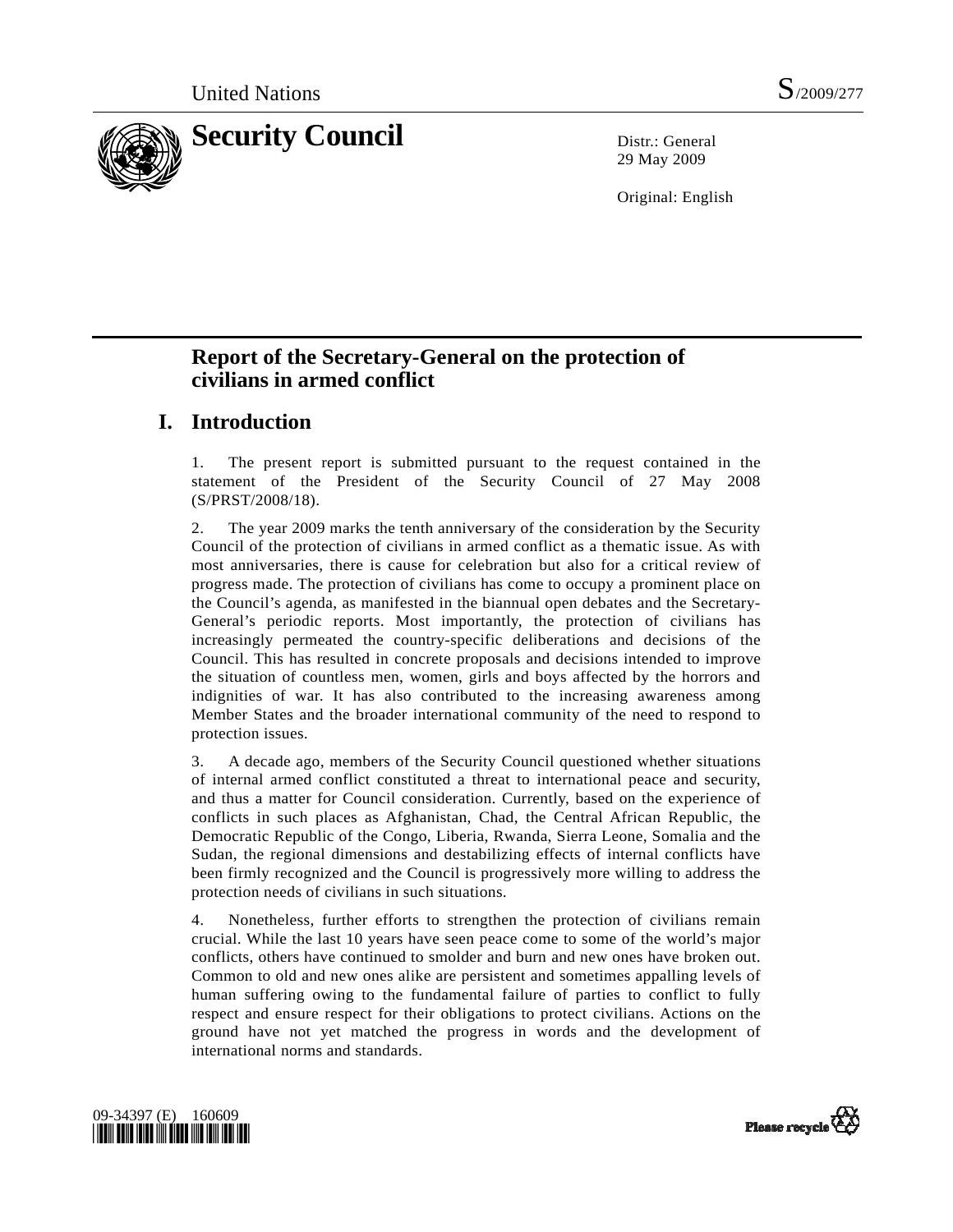

29 May 2009

Original: English

# **Report of the Secretary-General on the protection of civilians in armed conflict**

# **I. Introduction**

1. The present report is submitted pursuant to the request contained in the statement of the President of the Security Council of 27 May 2008 (S/PRST/2008/18).

2. The year 2009 marks the tenth anniversary of the consideration by the Security Council of the protection of civilians in armed conflict as a thematic issue. As with most anniversaries, there is cause for celebration but also for a critical review of progress made. The protection of civilians has come to occupy a prominent place on the Council's agenda, as manifested in the biannual open debates and the Secretary-General's periodic reports. Most importantly, the protection of civilians has increasingly permeated the country-specific deliberations and decisions of the Council. This has resulted in concrete proposals and decisions intended to improve the situation of countless men, women, girls and boys affected by the horrors and indignities of war. It has also contributed to the increasing awareness among Member States and the broader international community of the need to respond to protection issues.

3. A decade ago, members of the Security Council questioned whether situations of internal armed conflict constituted a threat to international peace and security, and thus a matter for Council consideration. Currently, based on the experience of conflicts in such places as Afghanistan, Chad, the Central African Republic, the Democratic Republic of the Congo, Liberia, Rwanda, Sierra Leone, Somalia and the Sudan, the regional dimensions and destabilizing effects of internal conflicts have been firmly recognized and the Council is progressively more willing to address the protection needs of civilians in such situations.

4. Nonetheless, further efforts to strengthen the protection of civilians remain crucial. While the last 10 years have seen peace come to some of the world's major conflicts, others have continued to smolder and burn and new ones have broken out. Common to old and new ones alike are persistent and sometimes appalling levels of human suffering owing to the fundamental failure of parties to conflict to fully respect and ensure respect for their obligations to protect civilians. Actions on the ground have not yet matched the progress in words and the development of international norms and standards.



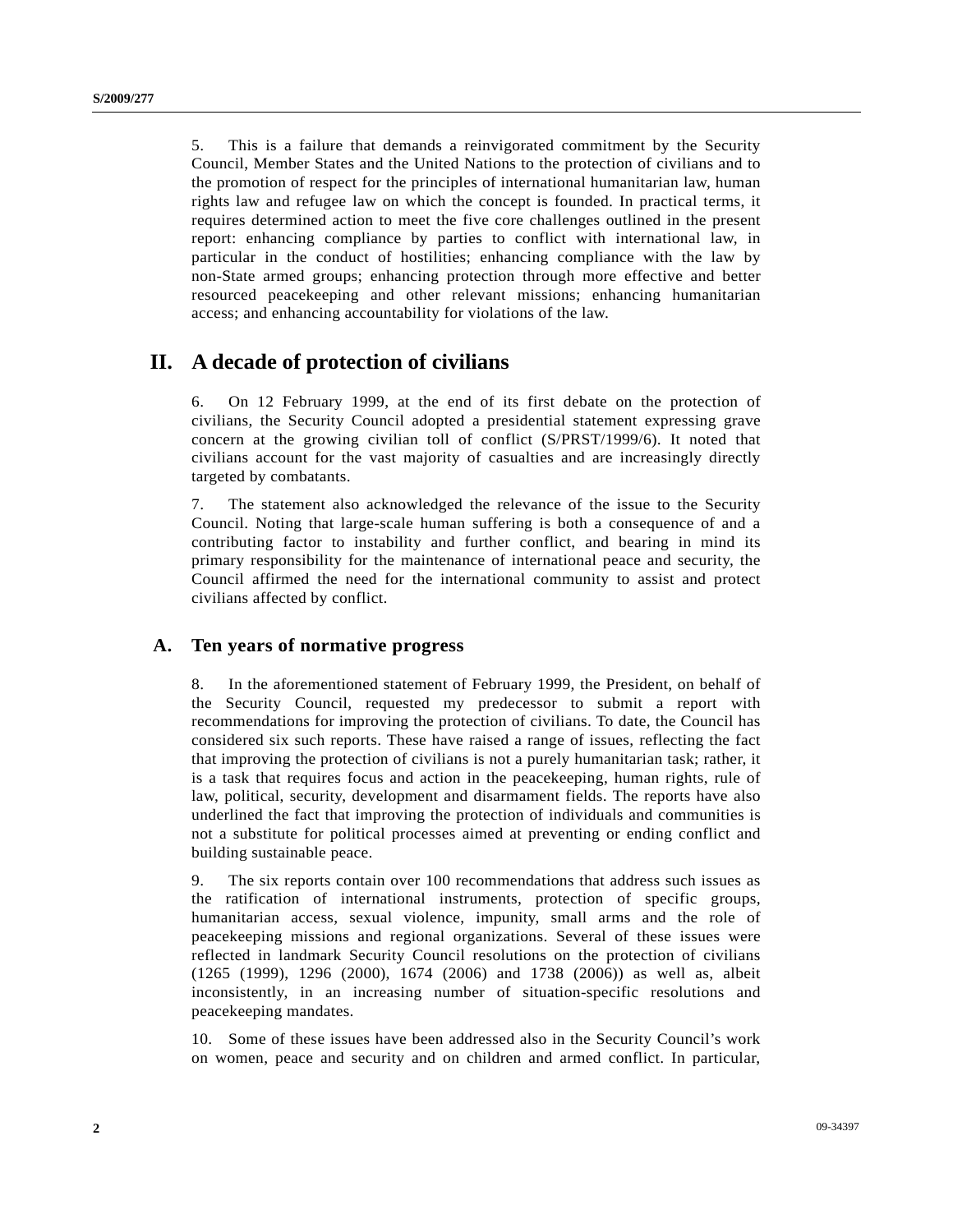5. This is a failure that demands a reinvigorated commitment by the Security Council, Member States and the United Nations to the protection of civilians and to the promotion of respect for the principles of international humanitarian law, human rights law and refugee law on which the concept is founded. In practical terms, it requires determined action to meet the five core challenges outlined in the present report: enhancing compliance by parties to conflict with international law, in particular in the conduct of hostilities; enhancing compliance with the law by non-State armed groups; enhancing protection through more effective and better resourced peacekeeping and other relevant missions; enhancing humanitarian access; and enhancing accountability for violations of the law.

# **II. A decade of protection of civilians**

6. On 12 February 1999, at the end of its first debate on the protection of civilians, the Security Council adopted a presidential statement expressing grave concern at the growing civilian toll of conflict (S/PRST/1999/6). It noted that civilians account for the vast majority of casualties and are increasingly directly targeted by combatants.

7. The statement also acknowledged the relevance of the issue to the Security Council. Noting that large-scale human suffering is both a consequence of and a contributing factor to instability and further conflict, and bearing in mind its primary responsibility for the maintenance of international peace and security, the Council affirmed the need for the international community to assist and protect civilians affected by conflict.

### **A. Ten years of normative progress**

8. In the aforementioned statement of February 1999, the President, on behalf of the Security Council, requested my predecessor to submit a report with recommendations for improving the protection of civilians. To date, the Council has considered six such reports. These have raised a range of issues, reflecting the fact that improving the protection of civilians is not a purely humanitarian task; rather, it is a task that requires focus and action in the peacekeeping, human rights, rule of law, political, security, development and disarmament fields. The reports have also underlined the fact that improving the protection of individuals and communities is not a substitute for political processes aimed at preventing or ending conflict and building sustainable peace.

9. The six reports contain over 100 recommendations that address such issues as the ratification of international instruments, protection of specific groups, humanitarian access, sexual violence, impunity, small arms and the role of peacekeeping missions and regional organizations. Several of these issues were reflected in landmark Security Council resolutions on the protection of civilians (1265 (1999), 1296 (2000), 1674 (2006) and 1738 (2006)) as well as, albeit inconsistently, in an increasing number of situation-specific resolutions and peacekeeping mandates.

10. Some of these issues have been addressed also in the Security Council's work on women, peace and security and on children and armed conflict. In particular,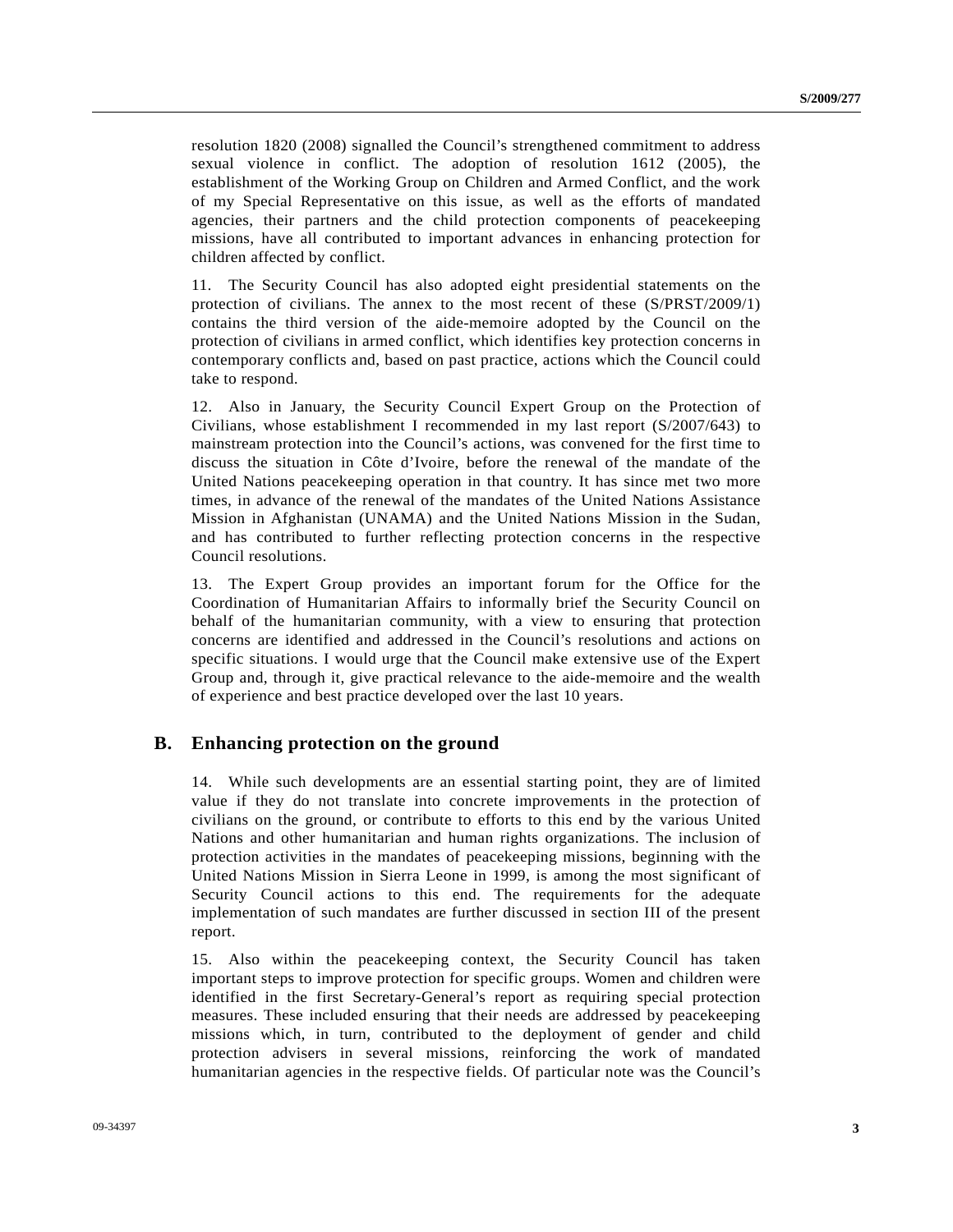resolution 1820 (2008) signalled the Council's strengthened commitment to address sexual violence in conflict. The adoption of resolution 1612 (2005), the establishment of the Working Group on Children and Armed Conflict, and the work of my Special Representative on this issue, as well as the efforts of mandated agencies, their partners and the child protection components of peacekeeping missions, have all contributed to important advances in enhancing protection for children affected by conflict.

11. The Security Council has also adopted eight presidential statements on the protection of civilians. The annex to the most recent of these (S/PRST/2009/1) contains the third version of the aide-memoire adopted by the Council on the protection of civilians in armed conflict, which identifies key protection concerns in contemporary conflicts and, based on past practice, actions which the Council could take to respond.

12. Also in January, the Security Council Expert Group on the Protection of Civilians, whose establishment I recommended in my last report (S/2007/643) to mainstream protection into the Council's actions, was convened for the first time to discuss the situation in Côte d'Ivoire, before the renewal of the mandate of the United Nations peacekeeping operation in that country. It has since met two more times, in advance of the renewal of the mandates of the United Nations Assistance Mission in Afghanistan (UNAMA) and the United Nations Mission in the Sudan, and has contributed to further reflecting protection concerns in the respective Council resolutions.

13. The Expert Group provides an important forum for the Office for the Coordination of Humanitarian Affairs to informally brief the Security Council on behalf of the humanitarian community, with a view to ensuring that protection concerns are identified and addressed in the Council's resolutions and actions on specific situations. I would urge that the Council make extensive use of the Expert Group and, through it, give practical relevance to the aide-memoire and the wealth of experience and best practice developed over the last 10 years.

### **B. Enhancing protection on the ground**

14. While such developments are an essential starting point, they are of limited value if they do not translate into concrete improvements in the protection of civilians on the ground, or contribute to efforts to this end by the various United Nations and other humanitarian and human rights organizations. The inclusion of protection activities in the mandates of peacekeeping missions, beginning with the United Nations Mission in Sierra Leone in 1999, is among the most significant of Security Council actions to this end. The requirements for the adequate implementation of such mandates are further discussed in section III of the present report.

15. Also within the peacekeeping context, the Security Council has taken important steps to improve protection for specific groups. Women and children were identified in the first Secretary-General's report as requiring special protection measures. These included ensuring that their needs are addressed by peacekeeping missions which, in turn, contributed to the deployment of gender and child protection advisers in several missions, reinforcing the work of mandated humanitarian agencies in the respective fields. Of particular note was the Council's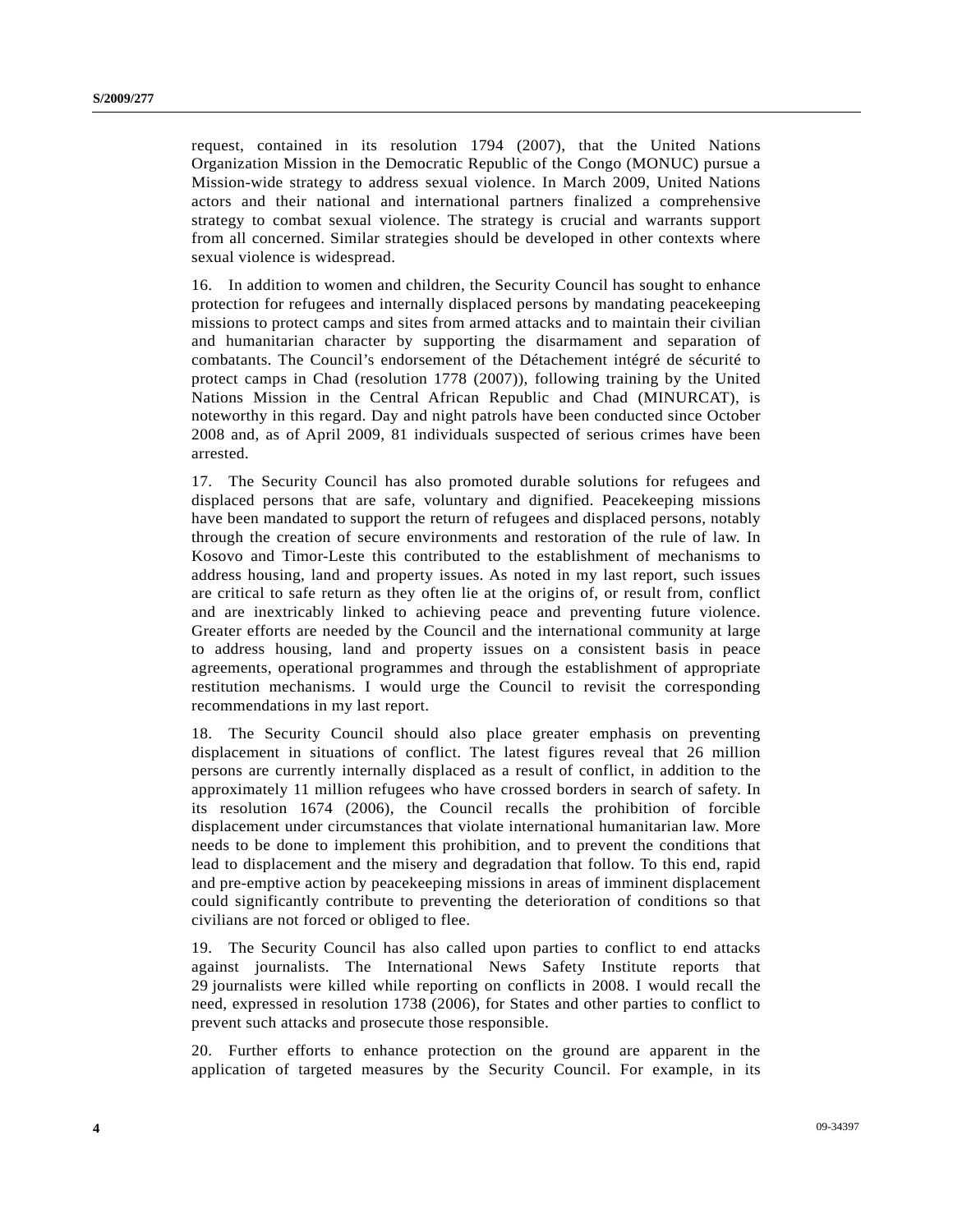request, contained in its resolution 1794 (2007), that the United Nations Organization Mission in the Democratic Republic of the Congo (MONUC) pursue a Mission-wide strategy to address sexual violence. In March 2009, United Nations actors and their national and international partners finalized a comprehensive strategy to combat sexual violence. The strategy is crucial and warrants support from all concerned. Similar strategies should be developed in other contexts where sexual violence is widespread.

16. In addition to women and children, the Security Council has sought to enhance protection for refugees and internally displaced persons by mandating peacekeeping missions to protect camps and sites from armed attacks and to maintain their civilian and humanitarian character by supporting the disarmament and separation of combatants. The Council's endorsement of the Détachement intégré de sécurité to protect camps in Chad (resolution 1778 (2007)), following training by the United Nations Mission in the Central African Republic and Chad (MINURCAT), is noteworthy in this regard. Day and night patrols have been conducted since October 2008 and, as of April 2009, 81 individuals suspected of serious crimes have been arrested.

17. The Security Council has also promoted durable solutions for refugees and displaced persons that are safe, voluntary and dignified. Peacekeeping missions have been mandated to support the return of refugees and displaced persons, notably through the creation of secure environments and restoration of the rule of law. In Kosovo and Timor-Leste this contributed to the establishment of mechanisms to address housing, land and property issues. As noted in my last report, such issues are critical to safe return as they often lie at the origins of, or result from, conflict and are inextricably linked to achieving peace and preventing future violence. Greater efforts are needed by the Council and the international community at large to address housing, land and property issues on a consistent basis in peace agreements, operational programmes and through the establishment of appropriate restitution mechanisms. I would urge the Council to revisit the corresponding recommendations in my last report.

18. The Security Council should also place greater emphasis on preventing displacement in situations of conflict. The latest figures reveal that 26 million persons are currently internally displaced as a result of conflict, in addition to the approximately 11 million refugees who have crossed borders in search of safety. In its resolution 1674 (2006), the Council recalls the prohibition of forcible displacement under circumstances that violate international humanitarian law. More needs to be done to implement this prohibition, and to prevent the conditions that lead to displacement and the misery and degradation that follow. To this end, rapid and pre-emptive action by peacekeeping missions in areas of imminent displacement could significantly contribute to preventing the deterioration of conditions so that civilians are not forced or obliged to flee.

19. The Security Council has also called upon parties to conflict to end attacks against journalists. The International News Safety Institute reports that 29 journalists were killed while reporting on conflicts in 2008. I would recall the need, expressed in resolution 1738 (2006), for States and other parties to conflict to prevent such attacks and prosecute those responsible.

20. Further efforts to enhance protection on the ground are apparent in the application of targeted measures by the Security Council. For example, in its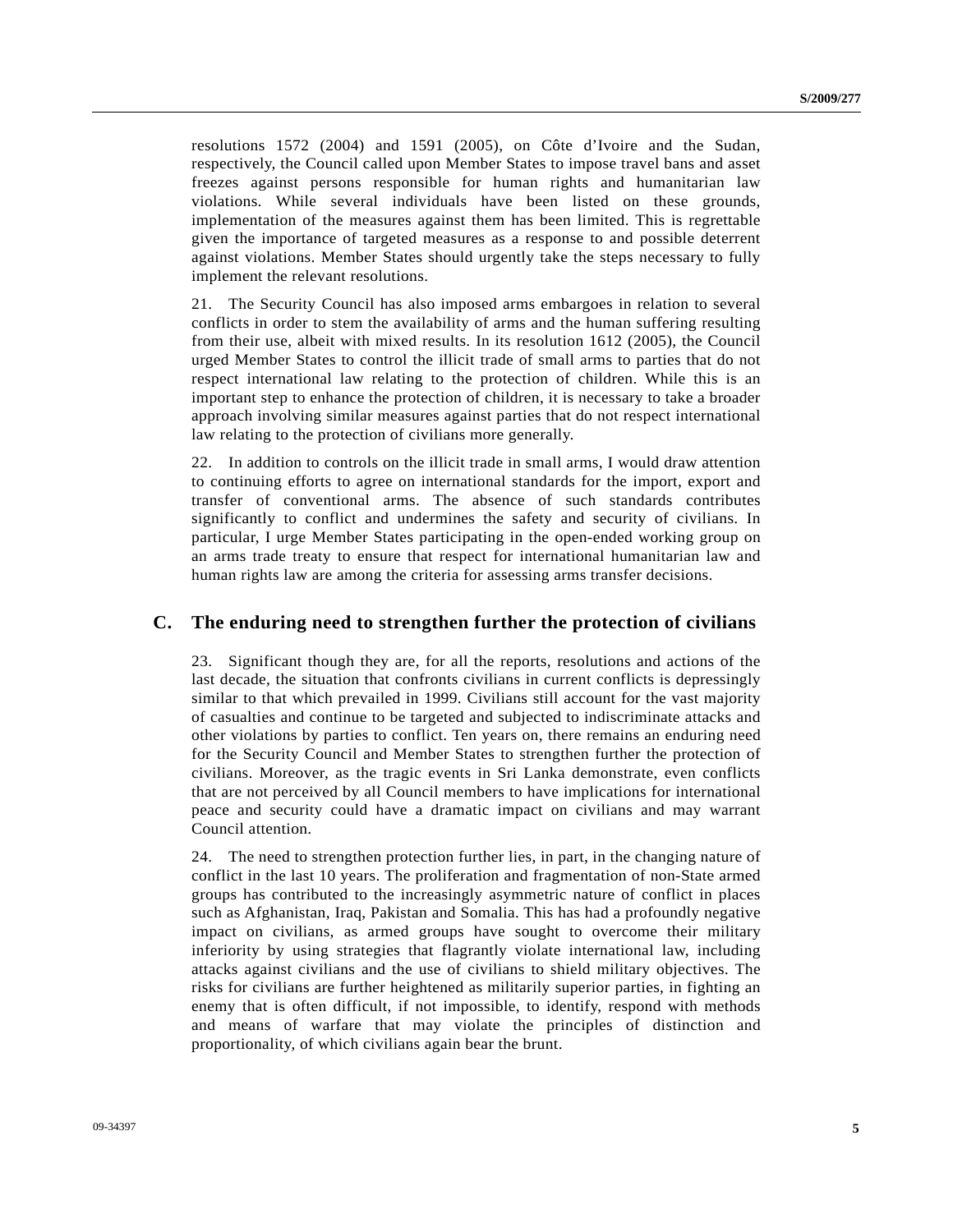resolutions 1572 (2004) and 1591 (2005), on Côte d'Ivoire and the Sudan, respectively, the Council called upon Member States to impose travel bans and asset freezes against persons responsible for human rights and humanitarian law violations. While several individuals have been listed on these grounds, implementation of the measures against them has been limited. This is regrettable given the importance of targeted measures as a response to and possible deterrent against violations. Member States should urgently take the steps necessary to fully implement the relevant resolutions.

21. The Security Council has also imposed arms embargoes in relation to several conflicts in order to stem the availability of arms and the human suffering resulting from their use, albeit with mixed results. In its resolution 1612 (2005), the Council urged Member States to control the illicit trade of small arms to parties that do not respect international law relating to the protection of children. While this is an important step to enhance the protection of children, it is necessary to take a broader approach involving similar measures against parties that do not respect international law relating to the protection of civilians more generally.

22. In addition to controls on the illicit trade in small arms, I would draw attention to continuing efforts to agree on international standards for the import, export and transfer of conventional arms. The absence of such standards contributes significantly to conflict and undermines the safety and security of civilians. In particular, I urge Member States participating in the open-ended working group on an arms trade treaty to ensure that respect for international humanitarian law and human rights law are among the criteria for assessing arms transfer decisions.

### **C. The enduring need to strengthen further the protection of civilians**

23. Significant though they are, for all the reports, resolutions and actions of the last decade, the situation that confronts civilians in current conflicts is depressingly similar to that which prevailed in 1999. Civilians still account for the vast majority of casualties and continue to be targeted and subjected to indiscriminate attacks and other violations by parties to conflict. Ten years on, there remains an enduring need for the Security Council and Member States to strengthen further the protection of civilians. Moreover, as the tragic events in Sri Lanka demonstrate, even conflicts that are not perceived by all Council members to have implications for international peace and security could have a dramatic impact on civilians and may warrant Council attention.

24. The need to strengthen protection further lies, in part, in the changing nature of conflict in the last 10 years. The proliferation and fragmentation of non-State armed groups has contributed to the increasingly asymmetric nature of conflict in places such as Afghanistan, Iraq, Pakistan and Somalia. This has had a profoundly negative impact on civilians, as armed groups have sought to overcome their military inferiority by using strategies that flagrantly violate international law, including attacks against civilians and the use of civilians to shield military objectives. The risks for civilians are further heightened as militarily superior parties, in fighting an enemy that is often difficult, if not impossible, to identify, respond with methods and means of warfare that may violate the principles of distinction and proportionality, of which civilians again bear the brunt.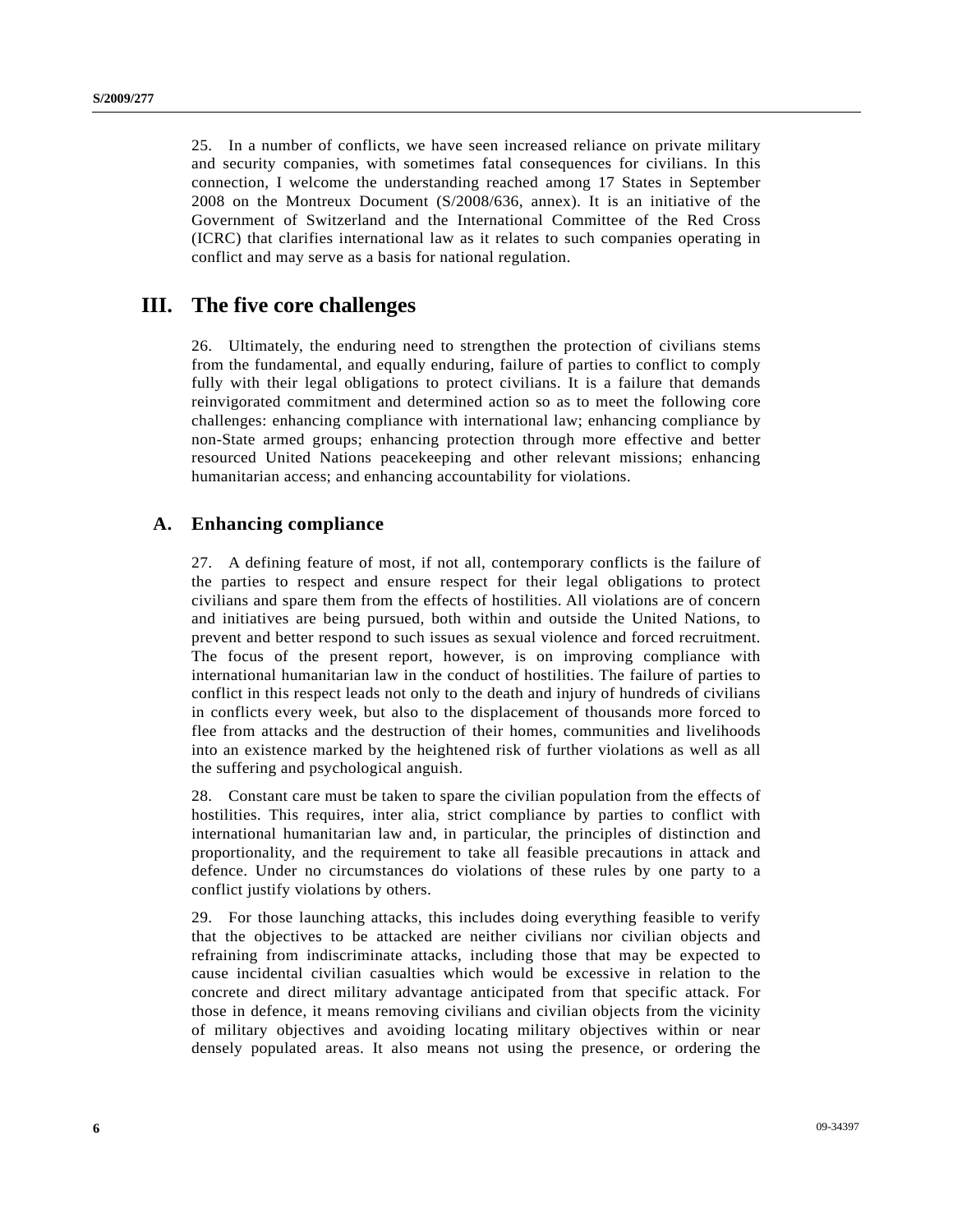25. In a number of conflicts, we have seen increased reliance on private military and security companies, with sometimes fatal consequences for civilians. In this connection, I welcome the understanding reached among 17 States in September 2008 on the Montreux Document (S/2008/636, annex). It is an initiative of the Government of Switzerland and the International Committee of the Red Cross (ICRC) that clarifies international law as it relates to such companies operating in conflict and may serve as a basis for national regulation.

## **III. The five core challenges**

26. Ultimately, the enduring need to strengthen the protection of civilians stems from the fundamental, and equally enduring, failure of parties to conflict to comply fully with their legal obligations to protect civilians. It is a failure that demands reinvigorated commitment and determined action so as to meet the following core challenges: enhancing compliance with international law; enhancing compliance by non-State armed groups; enhancing protection through more effective and better resourced United Nations peacekeeping and other relevant missions; enhancing humanitarian access; and enhancing accountability for violations.

### **A. Enhancing compliance**

27. A defining feature of most, if not all, contemporary conflicts is the failure of the parties to respect and ensure respect for their legal obligations to protect civilians and spare them from the effects of hostilities. All violations are of concern and initiatives are being pursued, both within and outside the United Nations, to prevent and better respond to such issues as sexual violence and forced recruitment. The focus of the present report, however, is on improving compliance with international humanitarian law in the conduct of hostilities. The failure of parties to conflict in this respect leads not only to the death and injury of hundreds of civilians in conflicts every week, but also to the displacement of thousands more forced to flee from attacks and the destruction of their homes, communities and livelihoods into an existence marked by the heightened risk of further violations as well as all the suffering and psychological anguish.

28. Constant care must be taken to spare the civilian population from the effects of hostilities. This requires, inter alia, strict compliance by parties to conflict with international humanitarian law and, in particular, the principles of distinction and proportionality, and the requirement to take all feasible precautions in attack and defence. Under no circumstances do violations of these rules by one party to a conflict justify violations by others.

29. For those launching attacks, this includes doing everything feasible to verify that the objectives to be attacked are neither civilians nor civilian objects and refraining from indiscriminate attacks, including those that may be expected to cause incidental civilian casualties which would be excessive in relation to the concrete and direct military advantage anticipated from that specific attack. For those in defence, it means removing civilians and civilian objects from the vicinity of military objectives and avoiding locating military objectives within or near densely populated areas. It also means not using the presence, or ordering the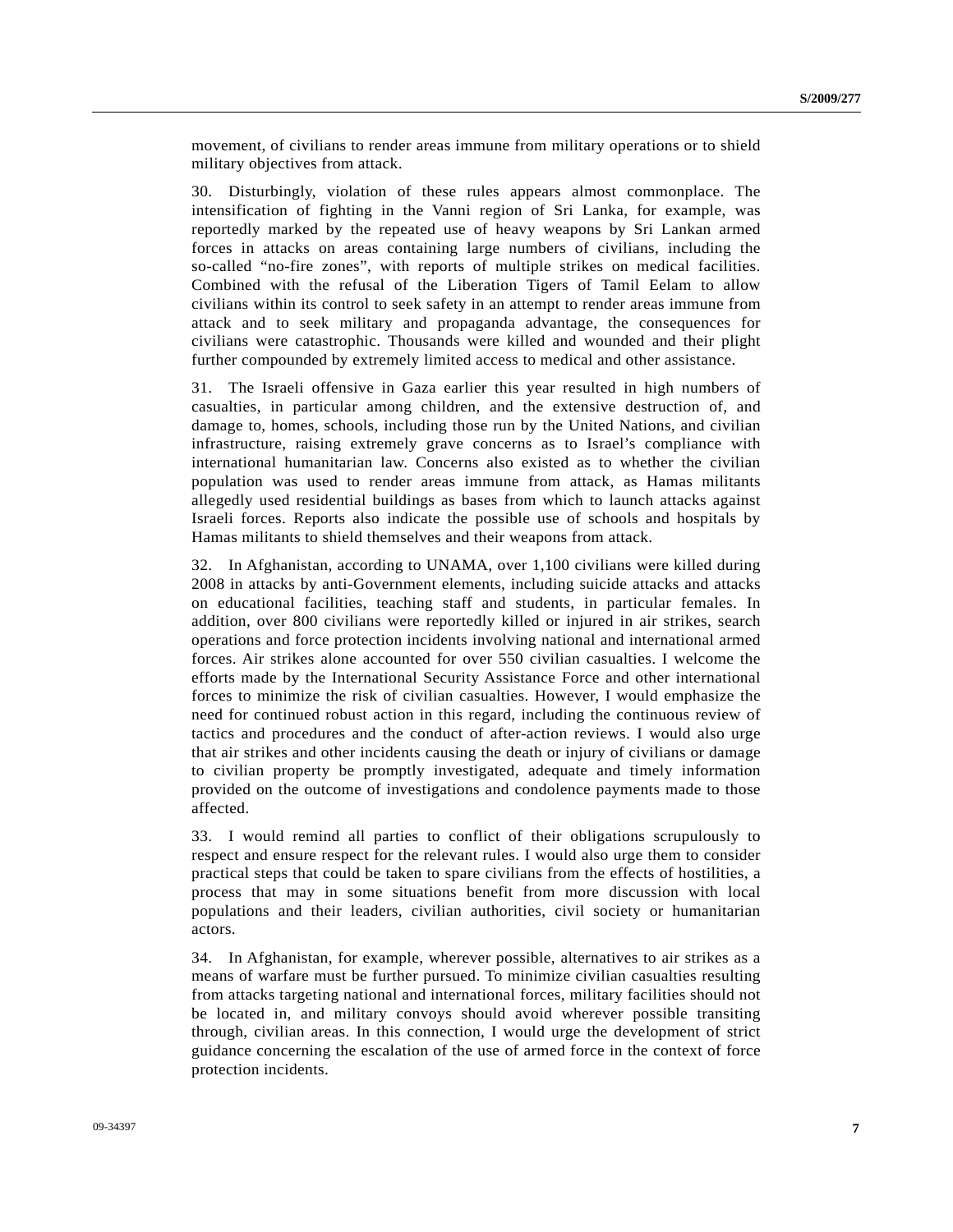movement, of civilians to render areas immune from military operations or to shield military objectives from attack.

30. Disturbingly, violation of these rules appears almost commonplace. The intensification of fighting in the Vanni region of Sri Lanka, for example, was reportedly marked by the repeated use of heavy weapons by Sri Lankan armed forces in attacks on areas containing large numbers of civilians, including the so-called "no-fire zones", with reports of multiple strikes on medical facilities. Combined with the refusal of the Liberation Tigers of Tamil Eelam to allow civilians within its control to seek safety in an attempt to render areas immune from attack and to seek military and propaganda advantage, the consequences for civilians were catastrophic. Thousands were killed and wounded and their plight further compounded by extremely limited access to medical and other assistance.

31. The Israeli offensive in Gaza earlier this year resulted in high numbers of casualties, in particular among children, and the extensive destruction of, and damage to, homes, schools, including those run by the United Nations, and civilian infrastructure, raising extremely grave concerns as to Israel's compliance with international humanitarian law. Concerns also existed as to whether the civilian population was used to render areas immune from attack, as Hamas militants allegedly used residential buildings as bases from which to launch attacks against Israeli forces. Reports also indicate the possible use of schools and hospitals by Hamas militants to shield themselves and their weapons from attack.

32. In Afghanistan, according to UNAMA, over 1,100 civilians were killed during 2008 in attacks by anti-Government elements, including suicide attacks and attacks on educational facilities, teaching staff and students, in particular females. In addition, over 800 civilians were reportedly killed or injured in air strikes, search operations and force protection incidents involving national and international armed forces. Air strikes alone accounted for over 550 civilian casualties. I welcome the efforts made by the International Security Assistance Force and other international forces to minimize the risk of civilian casualties. However, I would emphasize the need for continued robust action in this regard, including the continuous review of tactics and procedures and the conduct of after-action reviews. I would also urge that air strikes and other incidents causing the death or injury of civilians or damage to civilian property be promptly investigated, adequate and timely information provided on the outcome of investigations and condolence payments made to those affected.

33. I would remind all parties to conflict of their obligations scrupulously to respect and ensure respect for the relevant rules. I would also urge them to consider practical steps that could be taken to spare civilians from the effects of hostilities, a process that may in some situations benefit from more discussion with local populations and their leaders, civilian authorities, civil society or humanitarian actors.

34. In Afghanistan, for example, wherever possible, alternatives to air strikes as a means of warfare must be further pursued. To minimize civilian casualties resulting from attacks targeting national and international forces, military facilities should not be located in, and military convoys should avoid wherever possible transiting through, civilian areas. In this connection, I would urge the development of strict guidance concerning the escalation of the use of armed force in the context of force protection incidents.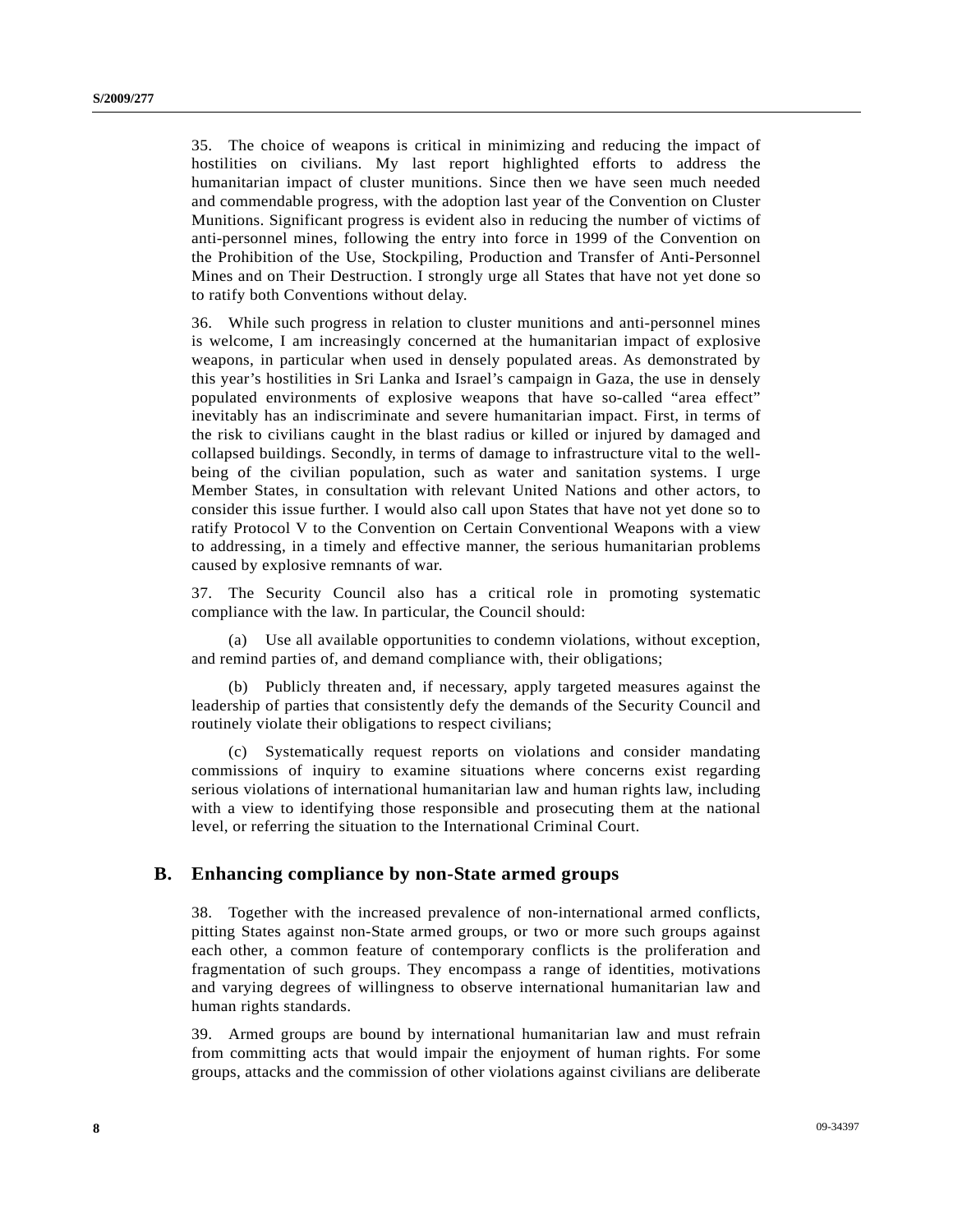35. The choice of weapons is critical in minimizing and reducing the impact of hostilities on civilians. My last report highlighted efforts to address the humanitarian impact of cluster munitions. Since then we have seen much needed and commendable progress, with the adoption last year of the Convention on Cluster Munitions. Significant progress is evident also in reducing the number of victims of anti-personnel mines, following the entry into force in 1999 of the Convention on the Prohibition of the Use, Stockpiling, Production and Transfer of Anti-Personnel Mines and on Their Destruction. I strongly urge all States that have not yet done so to ratify both Conventions without delay.

36. While such progress in relation to cluster munitions and anti-personnel mines is welcome, I am increasingly concerned at the humanitarian impact of explosive weapons, in particular when used in densely populated areas. As demonstrated by this year's hostilities in Sri Lanka and Israel's campaign in Gaza, the use in densely populated environments of explosive weapons that have so-called "area effect" inevitably has an indiscriminate and severe humanitarian impact. First, in terms of the risk to civilians caught in the blast radius or killed or injured by damaged and collapsed buildings. Secondly, in terms of damage to infrastructure vital to the wellbeing of the civilian population, such as water and sanitation systems. I urge Member States, in consultation with relevant United Nations and other actors, to consider this issue further. I would also call upon States that have not yet done so to ratify Protocol V to the Convention on Certain Conventional Weapons with a view to addressing, in a timely and effective manner, the serious humanitarian problems caused by explosive remnants of war.

37. The Security Council also has a critical role in promoting systematic compliance with the law. In particular, the Council should:

 (a) Use all available opportunities to condemn violations, without exception, and remind parties of, and demand compliance with, their obligations;

 (b) Publicly threaten and, if necessary, apply targeted measures against the leadership of parties that consistently defy the demands of the Security Council and routinely violate their obligations to respect civilians;

 (c) Systematically request reports on violations and consider mandating commissions of inquiry to examine situations where concerns exist regarding serious violations of international humanitarian law and human rights law, including with a view to identifying those responsible and prosecuting them at the national level, or referring the situation to the International Criminal Court.

### **B. Enhancing compliance by non-State armed groups**

38. Together with the increased prevalence of non-international armed conflicts, pitting States against non-State armed groups, or two or more such groups against each other, a common feature of contemporary conflicts is the proliferation and fragmentation of such groups. They encompass a range of identities, motivations and varying degrees of willingness to observe international humanitarian law and human rights standards.

39. Armed groups are bound by international humanitarian law and must refrain from committing acts that would impair the enjoyment of human rights. For some groups, attacks and the commission of other violations against civilians are deliberate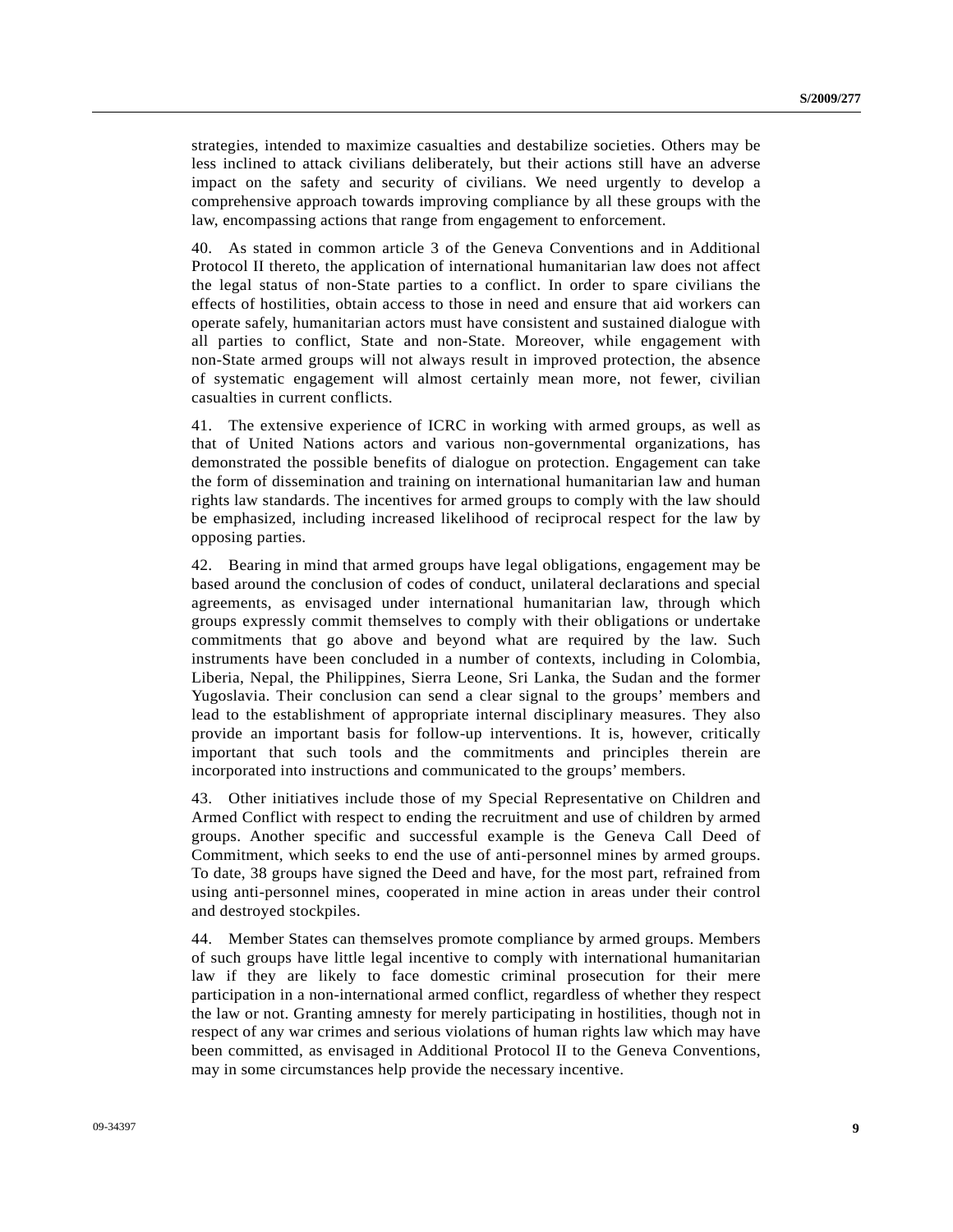strategies, intended to maximize casualties and destabilize societies. Others may be less inclined to attack civilians deliberately, but their actions still have an adverse impact on the safety and security of civilians. We need urgently to develop a comprehensive approach towards improving compliance by all these groups with the law, encompassing actions that range from engagement to enforcement.

40. As stated in common article 3 of the Geneva Conventions and in Additional Protocol II thereto, the application of international humanitarian law does not affect the legal status of non-State parties to a conflict. In order to spare civilians the effects of hostilities, obtain access to those in need and ensure that aid workers can operate safely, humanitarian actors must have consistent and sustained dialogue with all parties to conflict, State and non-State. Moreover, while engagement with non-State armed groups will not always result in improved protection, the absence of systematic engagement will almost certainly mean more, not fewer, civilian casualties in current conflicts.

41. The extensive experience of ICRC in working with armed groups, as well as that of United Nations actors and various non-governmental organizations, has demonstrated the possible benefits of dialogue on protection. Engagement can take the form of dissemination and training on international humanitarian law and human rights law standards. The incentives for armed groups to comply with the law should be emphasized, including increased likelihood of reciprocal respect for the law by opposing parties.

42. Bearing in mind that armed groups have legal obligations, engagement may be based around the conclusion of codes of conduct, unilateral declarations and special agreements, as envisaged under international humanitarian law, through which groups expressly commit themselves to comply with their obligations or undertake commitments that go above and beyond what are required by the law. Such instruments have been concluded in a number of contexts, including in Colombia, Liberia, Nepal, the Philippines, Sierra Leone, Sri Lanka, the Sudan and the former Yugoslavia. Their conclusion can send a clear signal to the groups' members and lead to the establishment of appropriate internal disciplinary measures. They also provide an important basis for follow-up interventions. It is, however, critically important that such tools and the commitments and principles therein are incorporated into instructions and communicated to the groups' members.

43. Other initiatives include those of my Special Representative on Children and Armed Conflict with respect to ending the recruitment and use of children by armed groups. Another specific and successful example is the Geneva Call Deed of Commitment, which seeks to end the use of anti-personnel mines by armed groups. To date, 38 groups have signed the Deed and have, for the most part, refrained from using anti-personnel mines, cooperated in mine action in areas under their control and destroyed stockpiles.

44. Member States can themselves promote compliance by armed groups. Members of such groups have little legal incentive to comply with international humanitarian law if they are likely to face domestic criminal prosecution for their mere participation in a non-international armed conflict, regardless of whether they respect the law or not. Granting amnesty for merely participating in hostilities, though not in respect of any war crimes and serious violations of human rights law which may have been committed, as envisaged in Additional Protocol II to the Geneva Conventions, may in some circumstances help provide the necessary incentive.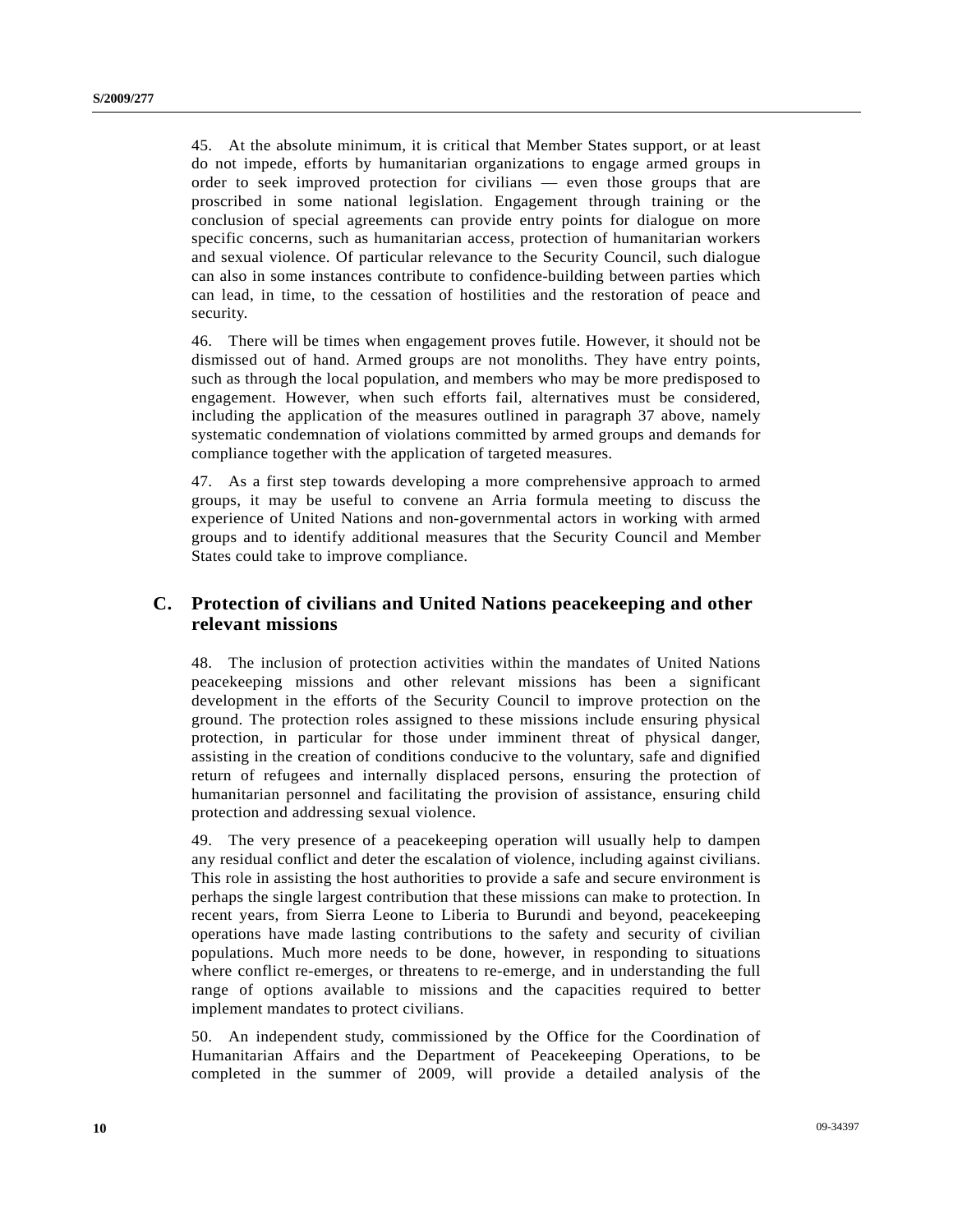45. At the absolute minimum, it is critical that Member States support, or at least do not impede, efforts by humanitarian organizations to engage armed groups in order to seek improved protection for civilians — even those groups that are proscribed in some national legislation. Engagement through training or the conclusion of special agreements can provide entry points for dialogue on more specific concerns, such as humanitarian access, protection of humanitarian workers and sexual violence. Of particular relevance to the Security Council, such dialogue can also in some instances contribute to confidence-building between parties which can lead, in time, to the cessation of hostilities and the restoration of peace and security.

46. There will be times when engagement proves futile. However, it should not be dismissed out of hand. Armed groups are not monoliths. They have entry points, such as through the local population, and members who may be more predisposed to engagement. However, when such efforts fail, alternatives must be considered, including the application of the measures outlined in paragraph 37 above, namely systematic condemnation of violations committed by armed groups and demands for compliance together with the application of targeted measures.

47. As a first step towards developing a more comprehensive approach to armed groups, it may be useful to convene an Arria formula meeting to discuss the experience of United Nations and non-governmental actors in working with armed groups and to identify additional measures that the Security Council and Member States could take to improve compliance.

## **C. Protection of civilians and United Nations peacekeeping and other relevant missions**

48. The inclusion of protection activities within the mandates of United Nations peacekeeping missions and other relevant missions has been a significant development in the efforts of the Security Council to improve protection on the ground. The protection roles assigned to these missions include ensuring physical protection, in particular for those under imminent threat of physical danger, assisting in the creation of conditions conducive to the voluntary, safe and dignified return of refugees and internally displaced persons, ensuring the protection of humanitarian personnel and facilitating the provision of assistance, ensuring child protection and addressing sexual violence.

49. The very presence of a peacekeeping operation will usually help to dampen any residual conflict and deter the escalation of violence, including against civilians. This role in assisting the host authorities to provide a safe and secure environment is perhaps the single largest contribution that these missions can make to protection. In recent years, from Sierra Leone to Liberia to Burundi and beyond, peacekeeping operations have made lasting contributions to the safety and security of civilian populations. Much more needs to be done, however, in responding to situations where conflict re-emerges, or threatens to re-emerge, and in understanding the full range of options available to missions and the capacities required to better implement mandates to protect civilians.

50. An independent study, commissioned by the Office for the Coordination of Humanitarian Affairs and the Department of Peacekeeping Operations, to be completed in the summer of 2009, will provide a detailed analysis of the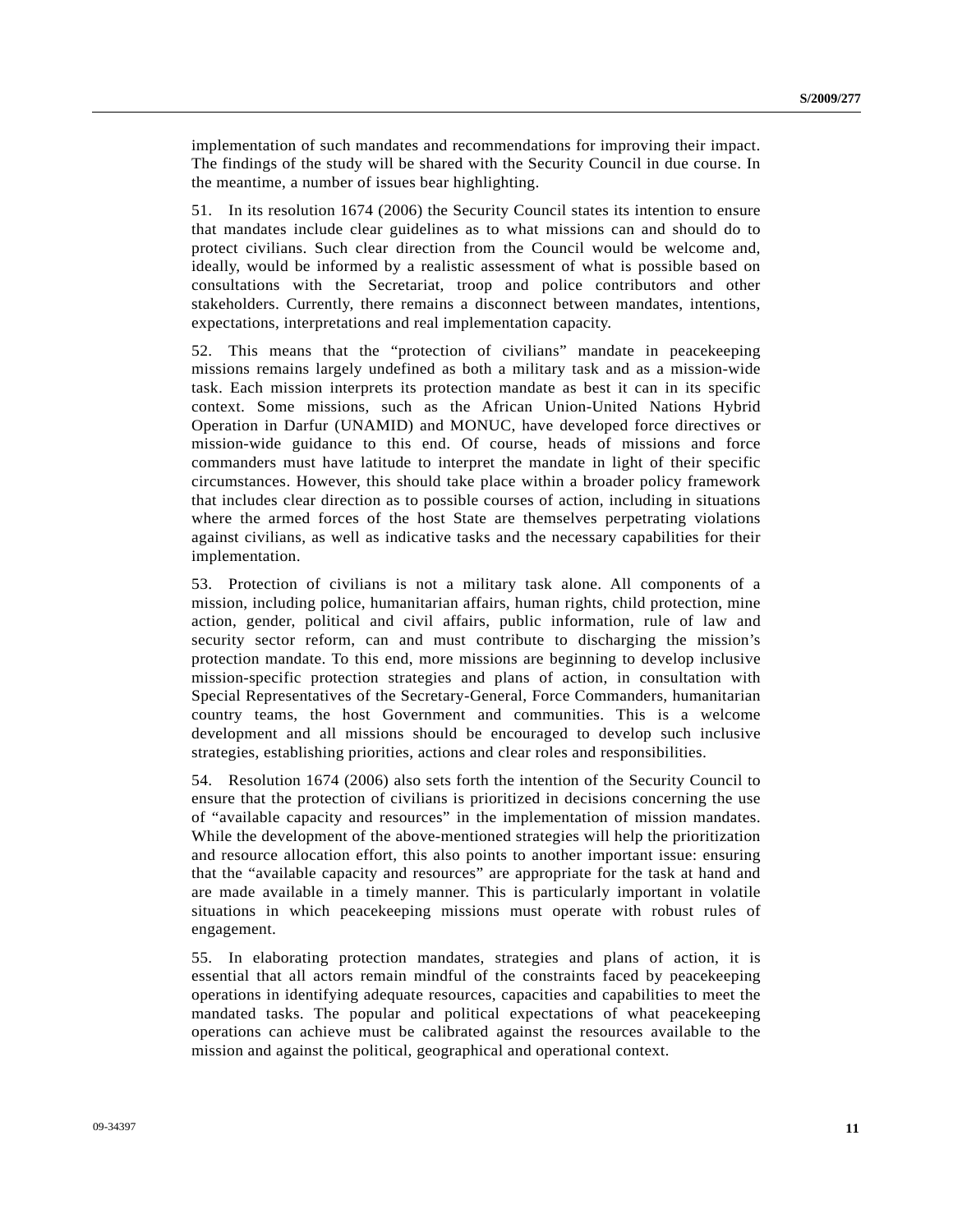implementation of such mandates and recommendations for improving their impact. The findings of the study will be shared with the Security Council in due course. In the meantime, a number of issues bear highlighting.

51. In its resolution 1674 (2006) the Security Council states its intention to ensure that mandates include clear guidelines as to what missions can and should do to protect civilians. Such clear direction from the Council would be welcome and, ideally, would be informed by a realistic assessment of what is possible based on consultations with the Secretariat, troop and police contributors and other stakeholders. Currently, there remains a disconnect between mandates, intentions, expectations, interpretations and real implementation capacity.

52. This means that the "protection of civilians" mandate in peacekeeping missions remains largely undefined as both a military task and as a mission-wide task. Each mission interprets its protection mandate as best it can in its specific context. Some missions, such as the African Union-United Nations Hybrid Operation in Darfur (UNAMID) and MONUC, have developed force directives or mission-wide guidance to this end. Of course, heads of missions and force commanders must have latitude to interpret the mandate in light of their specific circumstances. However, this should take place within a broader policy framework that includes clear direction as to possible courses of action, including in situations where the armed forces of the host State are themselves perpetrating violations against civilians, as well as indicative tasks and the necessary capabilities for their implementation.

53. Protection of civilians is not a military task alone. All components of a mission, including police, humanitarian affairs, human rights, child protection, mine action, gender, political and civil affairs, public information, rule of law and security sector reform, can and must contribute to discharging the mission's protection mandate. To this end, more missions are beginning to develop inclusive mission-specific protection strategies and plans of action, in consultation with Special Representatives of the Secretary-General, Force Commanders, humanitarian country teams, the host Government and communities. This is a welcome development and all missions should be encouraged to develop such inclusive strategies, establishing priorities, actions and clear roles and responsibilities.

54. Resolution 1674 (2006) also sets forth the intention of the Security Council to ensure that the protection of civilians is prioritized in decisions concerning the use of "available capacity and resources" in the implementation of mission mandates. While the development of the above-mentioned strategies will help the prioritization and resource allocation effort, this also points to another important issue: ensuring that the "available capacity and resources" are appropriate for the task at hand and are made available in a timely manner. This is particularly important in volatile situations in which peacekeeping missions must operate with robust rules of engagement.

55. In elaborating protection mandates, strategies and plans of action, it is essential that all actors remain mindful of the constraints faced by peacekeeping operations in identifying adequate resources, capacities and capabilities to meet the mandated tasks. The popular and political expectations of what peacekeeping operations can achieve must be calibrated against the resources available to the mission and against the political, geographical and operational context.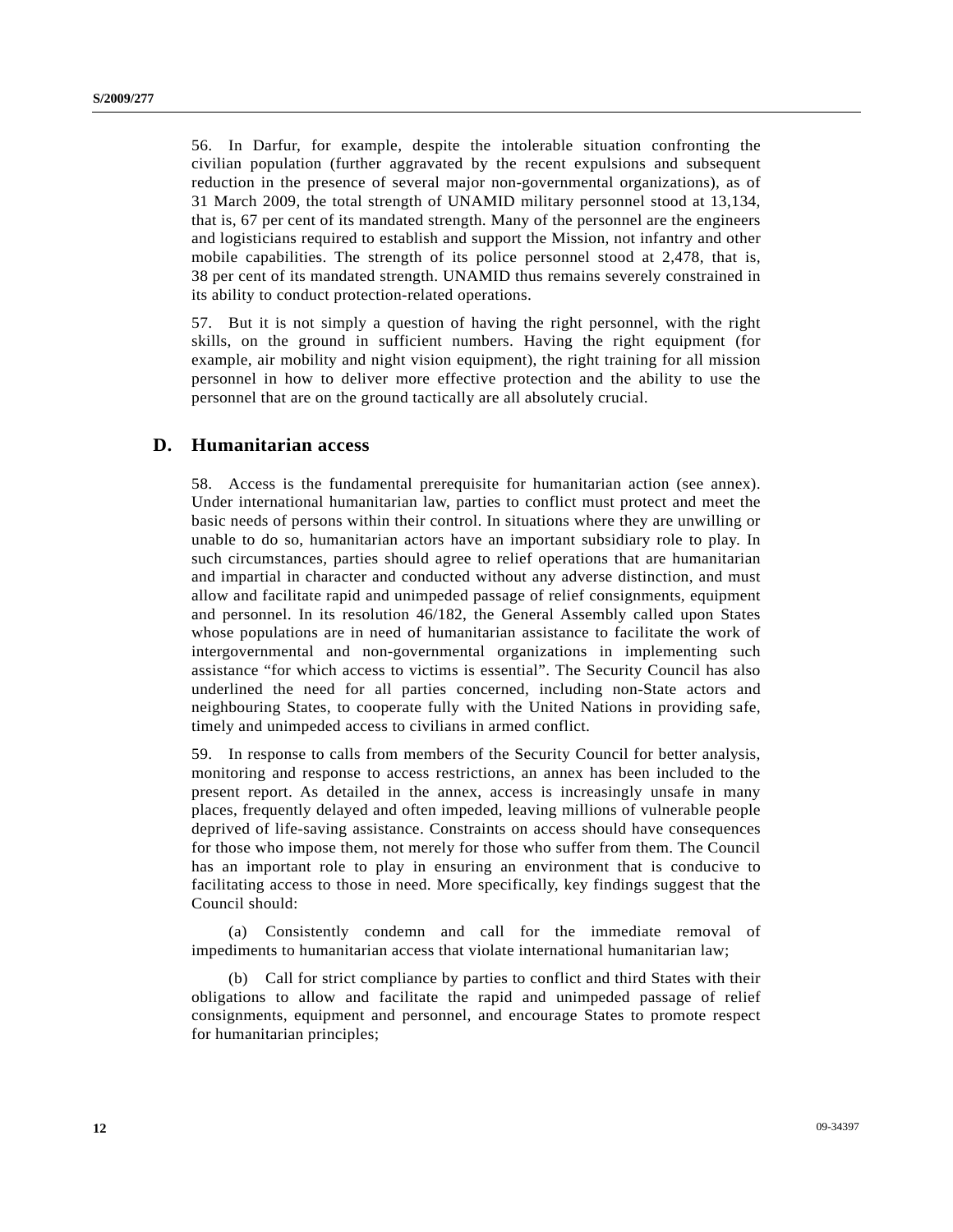56. In Darfur, for example, despite the intolerable situation confronting the civilian population (further aggravated by the recent expulsions and subsequent reduction in the presence of several major non-governmental organizations), as of 31 March 2009, the total strength of UNAMID military personnel stood at 13,134, that is, 67 per cent of its mandated strength. Many of the personnel are the engineers and logisticians required to establish and support the Mission, not infantry and other mobile capabilities. The strength of its police personnel stood at 2,478, that is, 38 per cent of its mandated strength. UNAMID thus remains severely constrained in its ability to conduct protection-related operations.

57. But it is not simply a question of having the right personnel, with the right skills, on the ground in sufficient numbers. Having the right equipment (for example, air mobility and night vision equipment), the right training for all mission personnel in how to deliver more effective protection and the ability to use the personnel that are on the ground tactically are all absolutely crucial.

### **D. Humanitarian access**

58. Access is the fundamental prerequisite for humanitarian action (see annex). Under international humanitarian law, parties to conflict must protect and meet the basic needs of persons within their control. In situations where they are unwilling or unable to do so, humanitarian actors have an important subsidiary role to play. In such circumstances, parties should agree to relief operations that are humanitarian and impartial in character and conducted without any adverse distinction, and must allow and facilitate rapid and unimpeded passage of relief consignments, equipment and personnel. In its resolution 46/182, the General Assembly called upon States whose populations are in need of humanitarian assistance to facilitate the work of intergovernmental and non-governmental organizations in implementing such assistance "for which access to victims is essential". The Security Council has also underlined the need for all parties concerned, including non-State actors and neighbouring States, to cooperate fully with the United Nations in providing safe, timely and unimpeded access to civilians in armed conflict.

59. In response to calls from members of the Security Council for better analysis, monitoring and response to access restrictions, an annex has been included to the present report. As detailed in the annex, access is increasingly unsafe in many places, frequently delayed and often impeded, leaving millions of vulnerable people deprived of life-saving assistance. Constraints on access should have consequences for those who impose them, not merely for those who suffer from them. The Council has an important role to play in ensuring an environment that is conducive to facilitating access to those in need. More specifically, key findings suggest that the Council should:

 (a) Consistently condemn and call for the immediate removal of impediments to humanitarian access that violate international humanitarian law;

 (b) Call for strict compliance by parties to conflict and third States with their obligations to allow and facilitate the rapid and unimpeded passage of relief consignments, equipment and personnel, and encourage States to promote respect for humanitarian principles;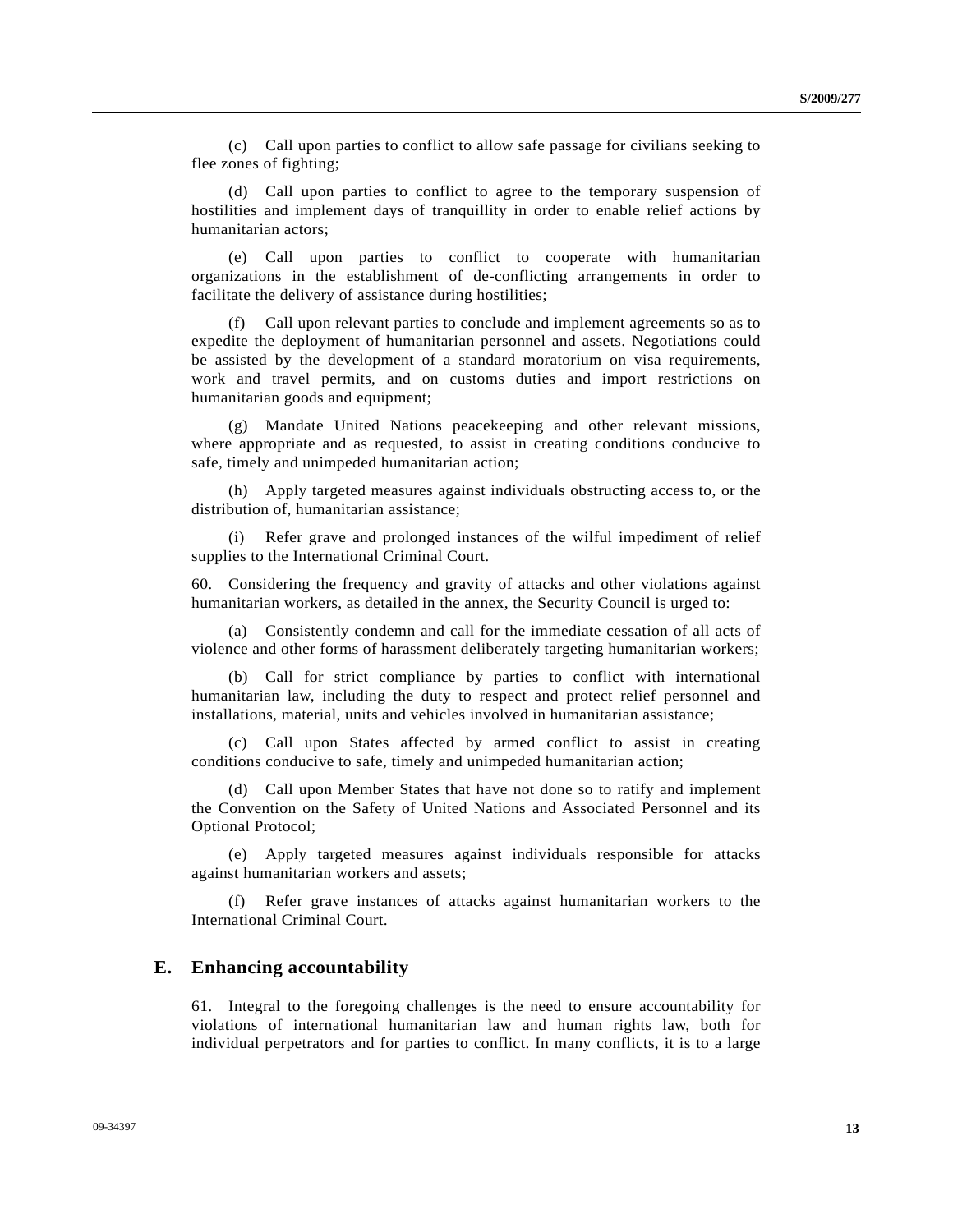(c) Call upon parties to conflict to allow safe passage for civilians seeking to flee zones of fighting;

 (d) Call upon parties to conflict to agree to the temporary suspension of hostilities and implement days of tranquillity in order to enable relief actions by humanitarian actors;

 (e) Call upon parties to conflict to cooperate with humanitarian organizations in the establishment of de-conflicting arrangements in order to facilitate the delivery of assistance during hostilities;

Call upon relevant parties to conclude and implement agreements so as to expedite the deployment of humanitarian personnel and assets. Negotiations could be assisted by the development of a standard moratorium on visa requirements, work and travel permits, and on customs duties and import restrictions on humanitarian goods and equipment;

 (g) Mandate United Nations peacekeeping and other relevant missions, where appropriate and as requested, to assist in creating conditions conducive to safe, timely and unimpeded humanitarian action;

 (h) Apply targeted measures against individuals obstructing access to, or the distribution of, humanitarian assistance;

 (i) Refer grave and prolonged instances of the wilful impediment of relief supplies to the International Criminal Court.

60. Considering the frequency and gravity of attacks and other violations against humanitarian workers, as detailed in the annex, the Security Council is urged to:

 (a) Consistently condemn and call for the immediate cessation of all acts of violence and other forms of harassment deliberately targeting humanitarian workers;

 (b) Call for strict compliance by parties to conflict with international humanitarian law, including the duty to respect and protect relief personnel and installations, material, units and vehicles involved in humanitarian assistance;

 (c) Call upon States affected by armed conflict to assist in creating conditions conducive to safe, timely and unimpeded humanitarian action;

 (d) Call upon Member States that have not done so to ratify and implement the Convention on the Safety of United Nations and Associated Personnel and its Optional Protocol;

 (e) Apply targeted measures against individuals responsible for attacks against humanitarian workers and assets;

 (f) Refer grave instances of attacks against humanitarian workers to the International Criminal Court.

#### **E. Enhancing accountability**

61. Integral to the foregoing challenges is the need to ensure accountability for violations of international humanitarian law and human rights law, both for individual perpetrators and for parties to conflict. In many conflicts, it is to a large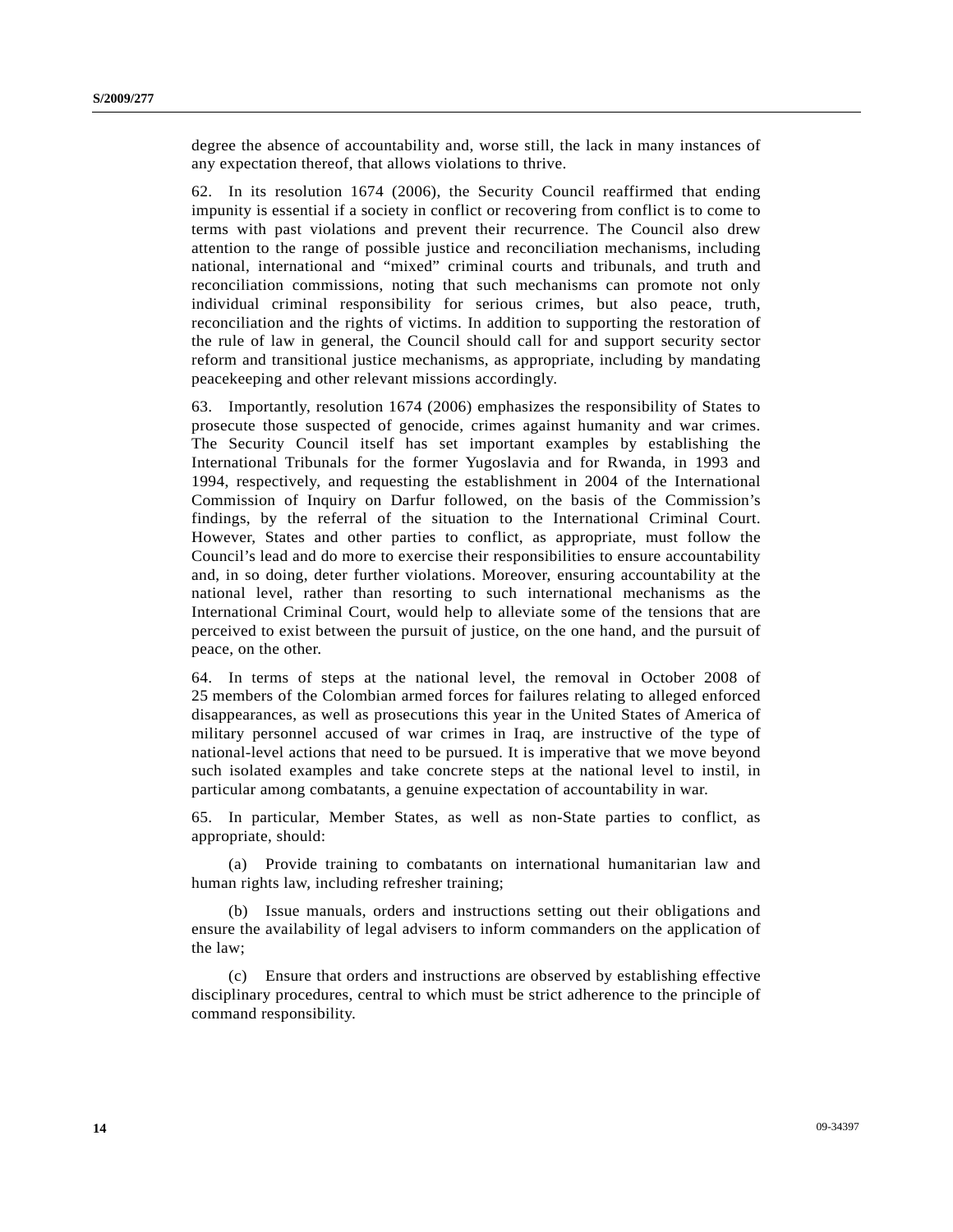degree the absence of accountability and, worse still, the lack in many instances of any expectation thereof, that allows violations to thrive.

62. In its resolution 1674 (2006), the Security Council reaffirmed that ending impunity is essential if a society in conflict or recovering from conflict is to come to terms with past violations and prevent their recurrence. The Council also drew attention to the range of possible justice and reconciliation mechanisms, including national, international and "mixed" criminal courts and tribunals, and truth and reconciliation commissions, noting that such mechanisms can promote not only individual criminal responsibility for serious crimes, but also peace, truth, reconciliation and the rights of victims. In addition to supporting the restoration of the rule of law in general, the Council should call for and support security sector reform and transitional justice mechanisms, as appropriate, including by mandating peacekeeping and other relevant missions accordingly.

63. Importantly, resolution 1674 (2006) emphasizes the responsibility of States to prosecute those suspected of genocide, crimes against humanity and war crimes. The Security Council itself has set important examples by establishing the International Tribunals for the former Yugoslavia and for Rwanda, in 1993 and 1994, respectively, and requesting the establishment in 2004 of the International Commission of Inquiry on Darfur followed, on the basis of the Commission's findings, by the referral of the situation to the International Criminal Court. However, States and other parties to conflict, as appropriate, must follow the Council's lead and do more to exercise their responsibilities to ensure accountability and, in so doing, deter further violations. Moreover, ensuring accountability at the national level, rather than resorting to such international mechanisms as the International Criminal Court, would help to alleviate some of the tensions that are perceived to exist between the pursuit of justice, on the one hand, and the pursuit of peace, on the other.

64. In terms of steps at the national level, the removal in October 2008 of 25 members of the Colombian armed forces for failures relating to alleged enforced disappearances, as well as prosecutions this year in the United States of America of military personnel accused of war crimes in Iraq, are instructive of the type of national-level actions that need to be pursued. It is imperative that we move beyond such isolated examples and take concrete steps at the national level to instil, in particular among combatants, a genuine expectation of accountability in war.

65. In particular, Member States, as well as non-State parties to conflict, as appropriate, should:

 (a) Provide training to combatants on international humanitarian law and human rights law, including refresher training;

 (b) Issue manuals, orders and instructions setting out their obligations and ensure the availability of legal advisers to inform commanders on the application of the law;

 (c) Ensure that orders and instructions are observed by establishing effective disciplinary procedures, central to which must be strict adherence to the principle of command responsibility.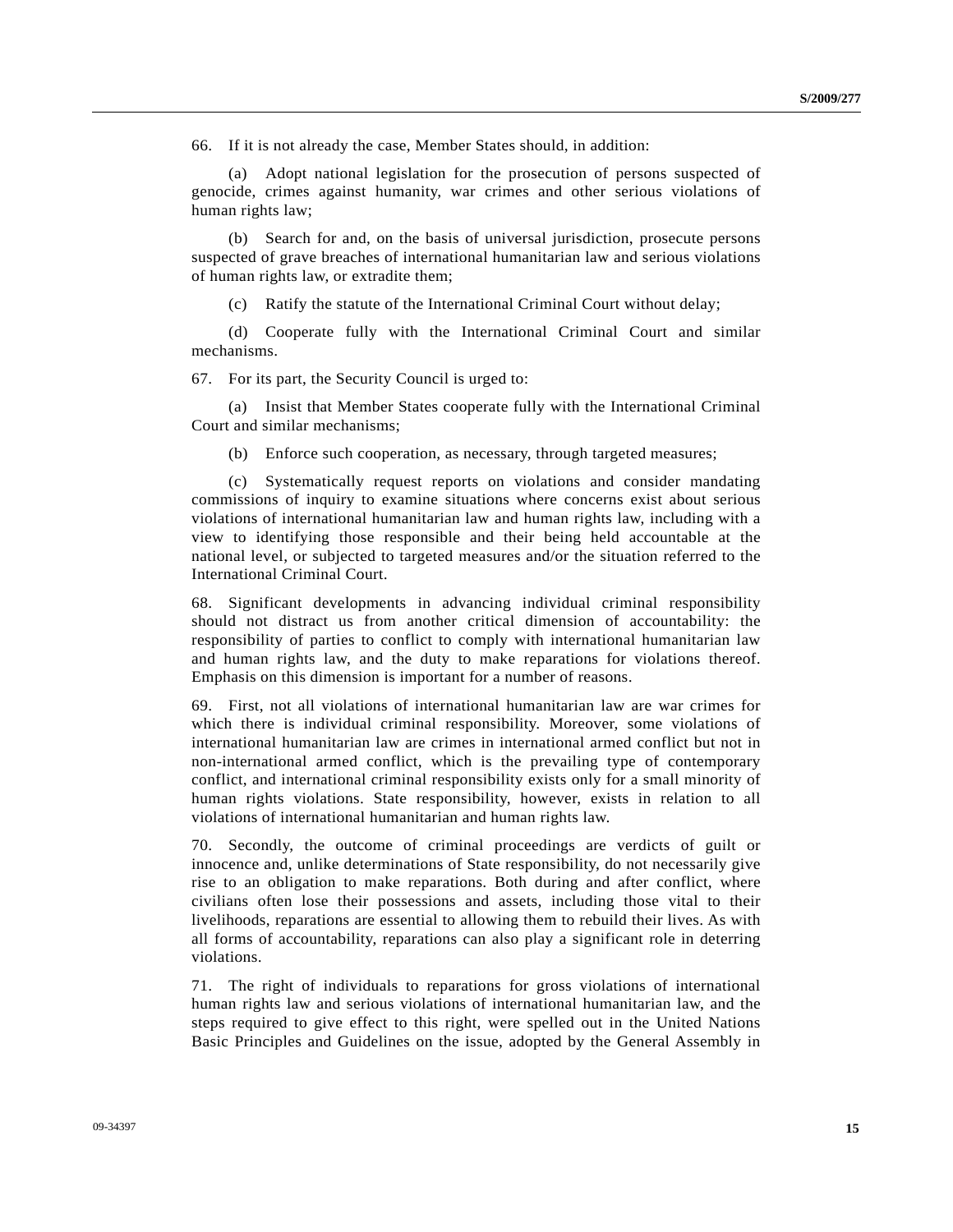66. If it is not already the case, Member States should, in addition:

 (a) Adopt national legislation for the prosecution of persons suspected of genocide, crimes against humanity, war crimes and other serious violations of human rights law;

 (b) Search for and, on the basis of universal jurisdiction, prosecute persons suspected of grave breaches of international humanitarian law and serious violations of human rights law, or extradite them;

(c) Ratify the statute of the International Criminal Court without delay;

 (d) Cooperate fully with the International Criminal Court and similar mechanisms.

67. For its part, the Security Council is urged to:

 (a) Insist that Member States cooperate fully with the International Criminal Court and similar mechanisms;

(b) Enforce such cooperation, as necessary, through targeted measures;

 (c) Systematically request reports on violations and consider mandating commissions of inquiry to examine situations where concerns exist about serious violations of international humanitarian law and human rights law, including with a view to identifying those responsible and their being held accountable at the national level, or subjected to targeted measures and/or the situation referred to the International Criminal Court.

68. Significant developments in advancing individual criminal responsibility should not distract us from another critical dimension of accountability: the responsibility of parties to conflict to comply with international humanitarian law and human rights law, and the duty to make reparations for violations thereof. Emphasis on this dimension is important for a number of reasons.

69. First, not all violations of international humanitarian law are war crimes for which there is individual criminal responsibility. Moreover, some violations of international humanitarian law are crimes in international armed conflict but not in non-international armed conflict, which is the prevailing type of contemporary conflict, and international criminal responsibility exists only for a small minority of human rights violations. State responsibility, however, exists in relation to all violations of international humanitarian and human rights law.

70. Secondly, the outcome of criminal proceedings are verdicts of guilt or innocence and, unlike determinations of State responsibility, do not necessarily give rise to an obligation to make reparations. Both during and after conflict, where civilians often lose their possessions and assets, including those vital to their livelihoods, reparations are essential to allowing them to rebuild their lives. As with all forms of accountability, reparations can also play a significant role in deterring violations.

71. The right of individuals to reparations for gross violations of international human rights law and serious violations of international humanitarian law, and the steps required to give effect to this right, were spelled out in the United Nations Basic Principles and Guidelines on the issue, adopted by the General Assembly in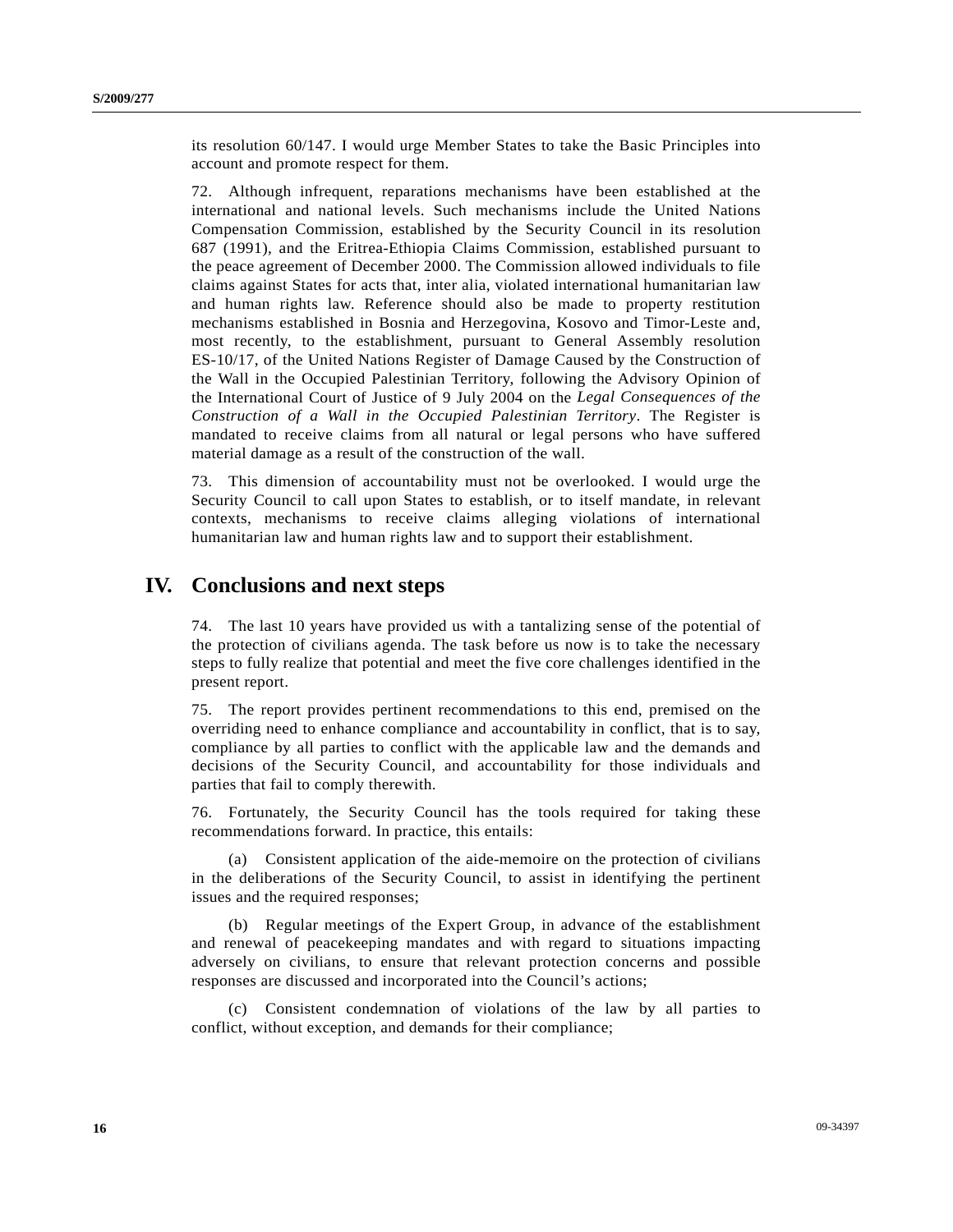its resolution 60/147. I would urge Member States to take the Basic Principles into account and promote respect for them.

72. Although infrequent, reparations mechanisms have been established at the international and national levels. Such mechanisms include the United Nations Compensation Commission, established by the Security Council in its resolution 687 (1991), and the Eritrea-Ethiopia Claims Commission, established pursuant to the peace agreement of December 2000. The Commission allowed individuals to file claims against States for acts that, inter alia, violated international humanitarian law and human rights law. Reference should also be made to property restitution mechanisms established in Bosnia and Herzegovina, Kosovo and Timor-Leste and, most recently, to the establishment, pursuant to General Assembly resolution ES-10/17, of the United Nations Register of Damage Caused by the Construction of the Wall in the Occupied Palestinian Territory, following the Advisory Opinion of the International Court of Justice of 9 July 2004 on the *Legal Consequences of the Construction of a Wall in the Occupied Palestinian Territory*. The Register is mandated to receive claims from all natural or legal persons who have suffered material damage as a result of the construction of the wall.

73. This dimension of accountability must not be overlooked. I would urge the Security Council to call upon States to establish, or to itself mandate, in relevant contexts, mechanisms to receive claims alleging violations of international humanitarian law and human rights law and to support their establishment.

## **IV. Conclusions and next steps**

74. The last 10 years have provided us with a tantalizing sense of the potential of the protection of civilians agenda. The task before us now is to take the necessary steps to fully realize that potential and meet the five core challenges identified in the present report.

75. The report provides pertinent recommendations to this end, premised on the overriding need to enhance compliance and accountability in conflict, that is to say, compliance by all parties to conflict with the applicable law and the demands and decisions of the Security Council, and accountability for those individuals and parties that fail to comply therewith.

76. Fortunately, the Security Council has the tools required for taking these recommendations forward. In practice, this entails:

 (a) Consistent application of the aide-memoire on the protection of civilians in the deliberations of the Security Council, to assist in identifying the pertinent issues and the required responses;

 (b) Regular meetings of the Expert Group, in advance of the establishment and renewal of peacekeeping mandates and with regard to situations impacting adversely on civilians, to ensure that relevant protection concerns and possible responses are discussed and incorporated into the Council's actions;

 (c) Consistent condemnation of violations of the law by all parties to conflict, without exception, and demands for their compliance;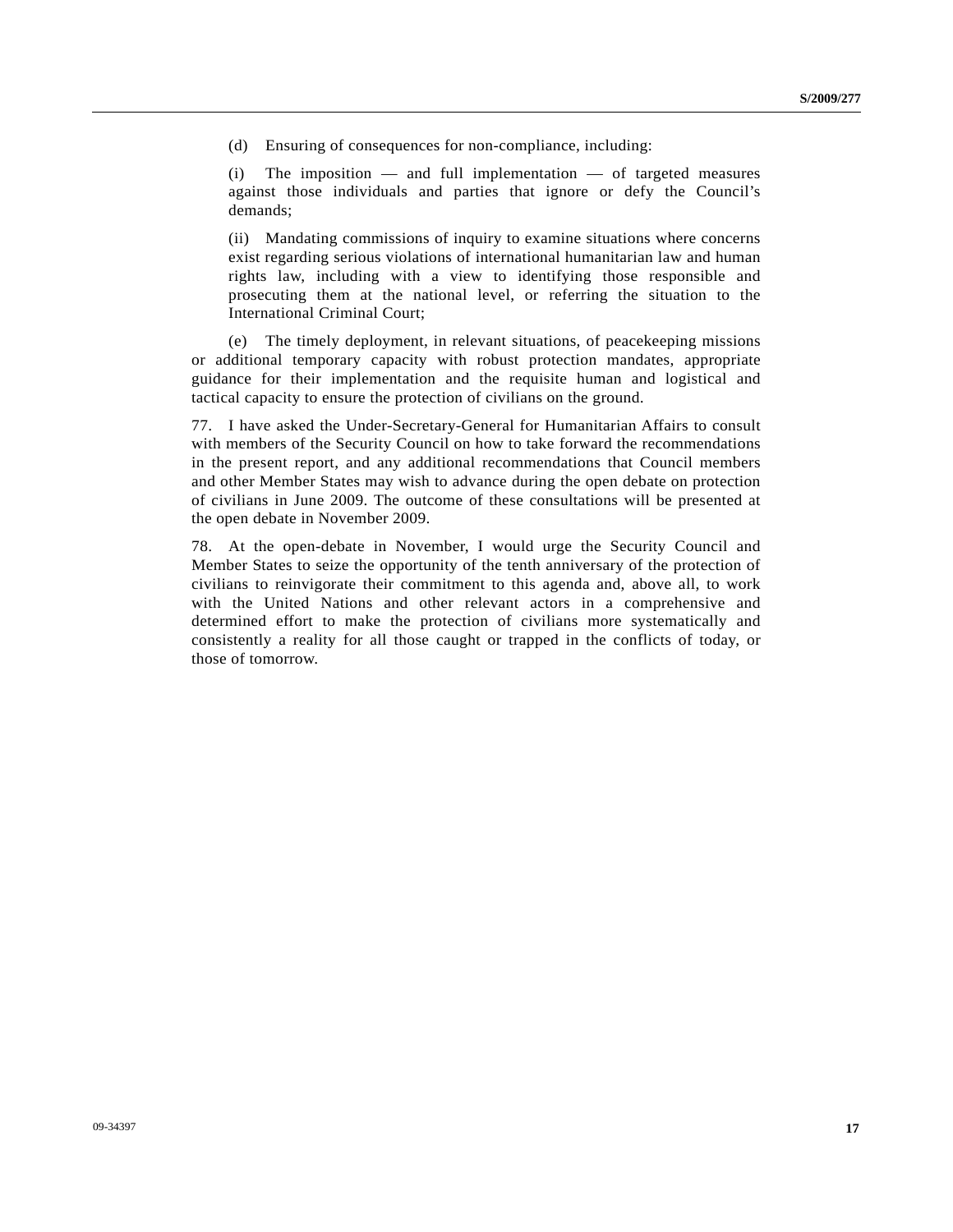(d) Ensuring of consequences for non-compliance, including:

 (i) The imposition — and full implementation — of targeted measures against those individuals and parties that ignore or defy the Council's demands;

 (ii) Mandating commissions of inquiry to examine situations where concerns exist regarding serious violations of international humanitarian law and human rights law, including with a view to identifying those responsible and prosecuting them at the national level, or referring the situation to the International Criminal Court;

 (e) The timely deployment, in relevant situations, of peacekeeping missions or additional temporary capacity with robust protection mandates, appropriate guidance for their implementation and the requisite human and logistical and tactical capacity to ensure the protection of civilians on the ground.

77. I have asked the Under-Secretary-General for Humanitarian Affairs to consult with members of the Security Council on how to take forward the recommendations in the present report, and any additional recommendations that Council members and other Member States may wish to advance during the open debate on protection of civilians in June 2009. The outcome of these consultations will be presented at the open debate in November 2009.

78. At the open-debate in November, I would urge the Security Council and Member States to seize the opportunity of the tenth anniversary of the protection of civilians to reinvigorate their commitment to this agenda and, above all, to work with the United Nations and other relevant actors in a comprehensive and determined effort to make the protection of civilians more systematically and consistently a reality for all those caught or trapped in the conflicts of today, or those of tomorrow.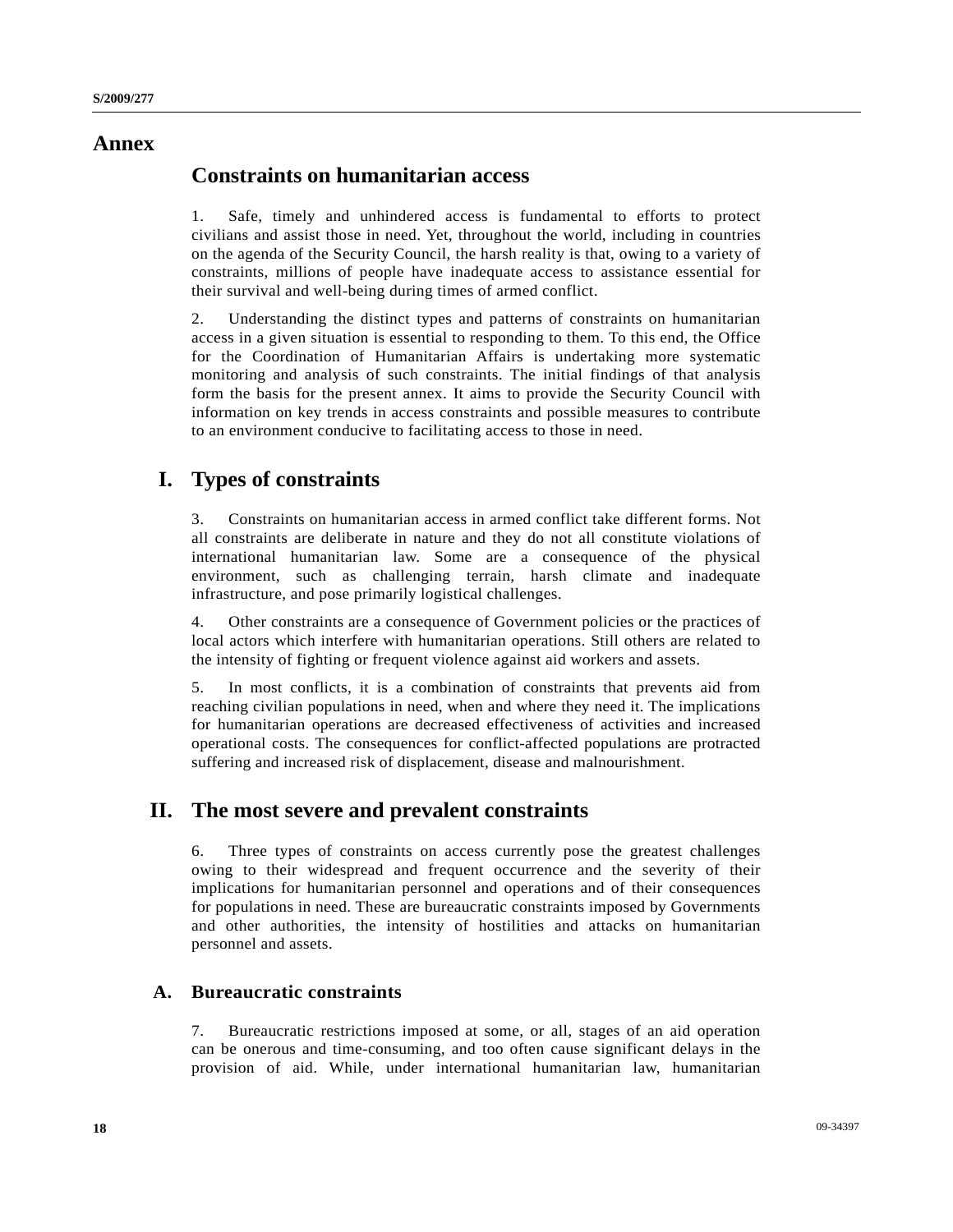## **Annex**

## **Constraints on humanitarian access**

1. Safe, timely and unhindered access is fundamental to efforts to protect civilians and assist those in need. Yet, throughout the world, including in countries on the agenda of the Security Council, the harsh reality is that, owing to a variety of constraints, millions of people have inadequate access to assistance essential for their survival and well-being during times of armed conflict.

2. Understanding the distinct types and patterns of constraints on humanitarian access in a given situation is essential to responding to them. To this end, the Office for the Coordination of Humanitarian Affairs is undertaking more systematic monitoring and analysis of such constraints. The initial findings of that analysis form the basis for the present annex. It aims to provide the Security Council with information on key trends in access constraints and possible measures to contribute to an environment conducive to facilitating access to those in need.

# **I. Types of constraints**

3. Constraints on humanitarian access in armed conflict take different forms. Not all constraints are deliberate in nature and they do not all constitute violations of international humanitarian law. Some are a consequence of the physical environment, such as challenging terrain, harsh climate and inadequate infrastructure, and pose primarily logistical challenges.

4. Other constraints are a consequence of Government policies or the practices of local actors which interfere with humanitarian operations. Still others are related to the intensity of fighting or frequent violence against aid workers and assets.

5. In most conflicts, it is a combination of constraints that prevents aid from reaching civilian populations in need, when and where they need it. The implications for humanitarian operations are decreased effectiveness of activities and increased operational costs. The consequences for conflict-affected populations are protracted suffering and increased risk of displacement, disease and malnourishment.

# **II. The most severe and prevalent constraints**

6. Three types of constraints on access currently pose the greatest challenges owing to their widespread and frequent occurrence and the severity of their implications for humanitarian personnel and operations and of their consequences for populations in need. These are bureaucratic constraints imposed by Governments and other authorities, the intensity of hostilities and attacks on humanitarian personnel and assets.

### **A. Bureaucratic constraints**

7. Bureaucratic restrictions imposed at some, or all, stages of an aid operation can be onerous and time-consuming, and too often cause significant delays in the provision of aid. While, under international humanitarian law, humanitarian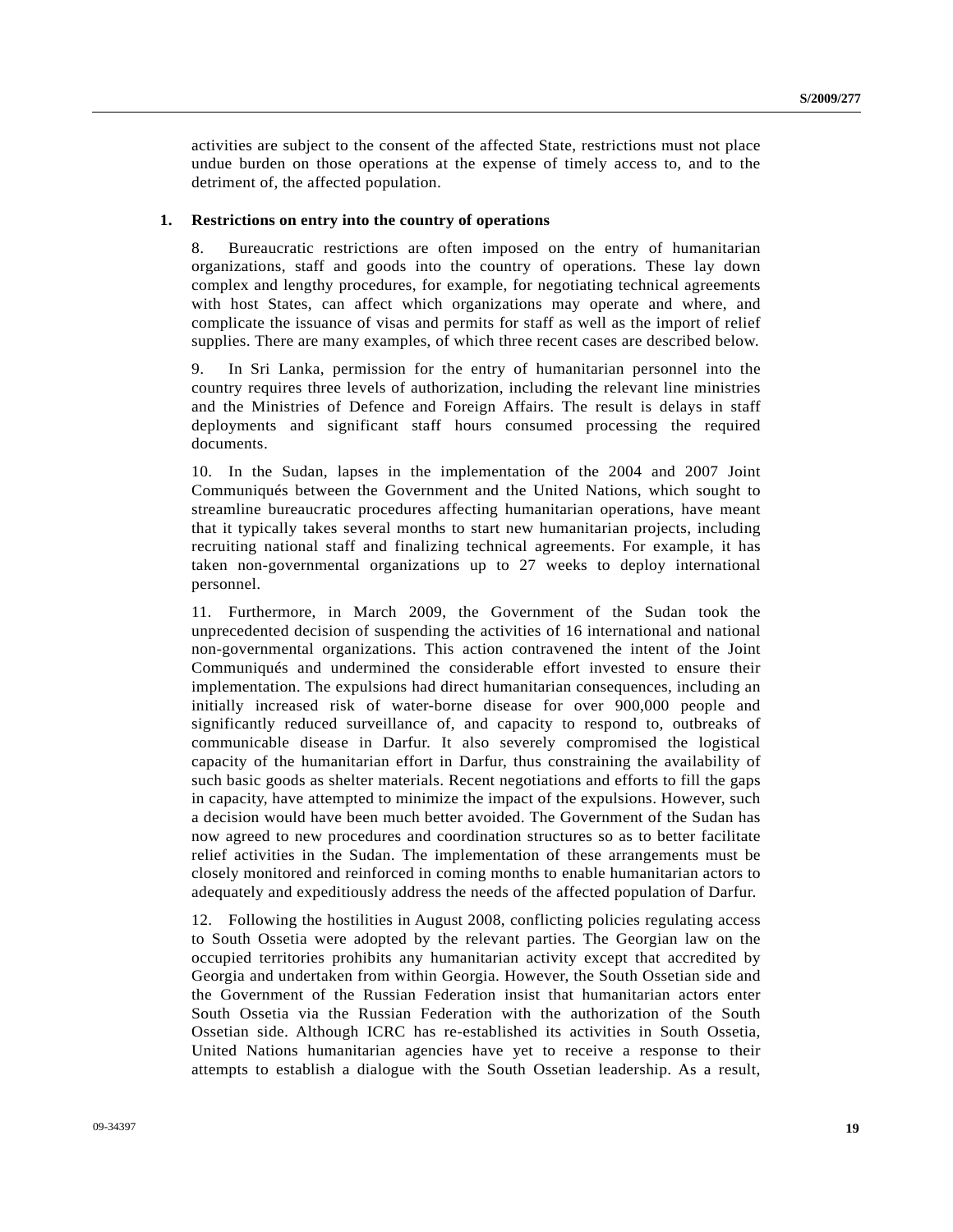activities are subject to the consent of the affected State, restrictions must not place undue burden on those operations at the expense of timely access to, and to the detriment of, the affected population.

#### **1. Restrictions on entry into the country of operations**

8. Bureaucratic restrictions are often imposed on the entry of humanitarian organizations, staff and goods into the country of operations. These lay down complex and lengthy procedures, for example, for negotiating technical agreements with host States, can affect which organizations may operate and where, and complicate the issuance of visas and permits for staff as well as the import of relief supplies. There are many examples, of which three recent cases are described below.

9. In Sri Lanka, permission for the entry of humanitarian personnel into the country requires three levels of authorization, including the relevant line ministries and the Ministries of Defence and Foreign Affairs. The result is delays in staff deployments and significant staff hours consumed processing the required documents.

10. In the Sudan, lapses in the implementation of the 2004 and 2007 Joint Communiqués between the Government and the United Nations, which sought to streamline bureaucratic procedures affecting humanitarian operations, have meant that it typically takes several months to start new humanitarian projects, including recruiting national staff and finalizing technical agreements. For example, it has taken non-governmental organizations up to 27 weeks to deploy international personnel.

11. Furthermore, in March 2009, the Government of the Sudan took the unprecedented decision of suspending the activities of 16 international and national non-governmental organizations. This action contravened the intent of the Joint Communiqués and undermined the considerable effort invested to ensure their implementation. The expulsions had direct humanitarian consequences, including an initially increased risk of water-borne disease for over 900,000 people and significantly reduced surveillance of, and capacity to respond to, outbreaks of communicable disease in Darfur. It also severely compromised the logistical capacity of the humanitarian effort in Darfur, thus constraining the availability of such basic goods as shelter materials. Recent negotiations and efforts to fill the gaps in capacity, have attempted to minimize the impact of the expulsions. However, such a decision would have been much better avoided. The Government of the Sudan has now agreed to new procedures and coordination structures so as to better facilitate relief activities in the Sudan. The implementation of these arrangements must be closely monitored and reinforced in coming months to enable humanitarian actors to adequately and expeditiously address the needs of the affected population of Darfur.

12. Following the hostilities in August 2008, conflicting policies regulating access to South Ossetia were adopted by the relevant parties. The Georgian law on the occupied territories prohibits any humanitarian activity except that accredited by Georgia and undertaken from within Georgia. However, the South Ossetian side and the Government of the Russian Federation insist that humanitarian actors enter South Ossetia via the Russian Federation with the authorization of the South Ossetian side. Although ICRC has re-established its activities in South Ossetia, United Nations humanitarian agencies have yet to receive a response to their attempts to establish a dialogue with the South Ossetian leadership. As a result,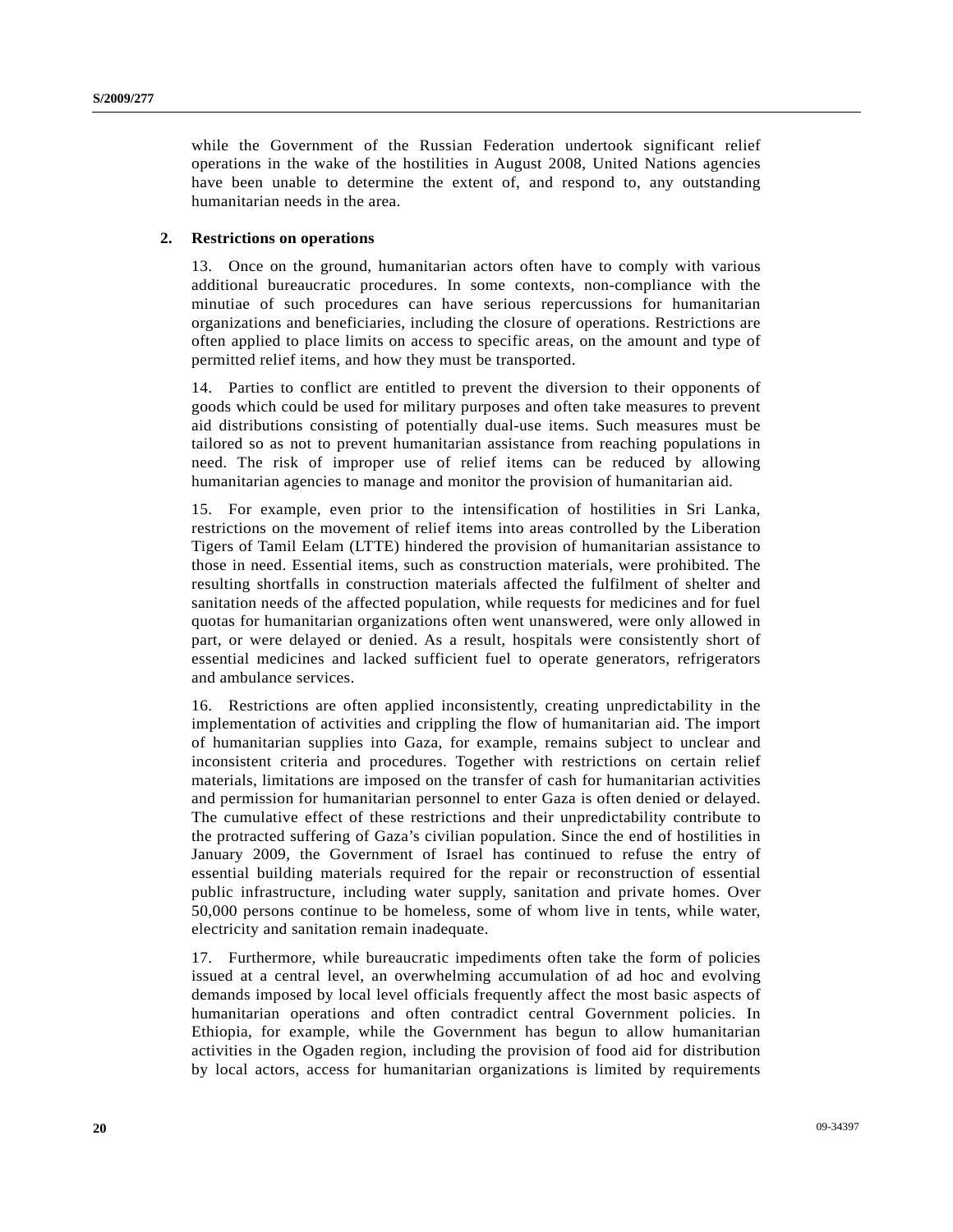while the Government of the Russian Federation undertook significant relief operations in the wake of the hostilities in August 2008, United Nations agencies have been unable to determine the extent of, and respond to, any outstanding humanitarian needs in the area.

#### **2. Restrictions on operations**

13. Once on the ground, humanitarian actors often have to comply with various additional bureaucratic procedures. In some contexts, non-compliance with the minutiae of such procedures can have serious repercussions for humanitarian organizations and beneficiaries, including the closure of operations. Restrictions are often applied to place limits on access to specific areas, on the amount and type of permitted relief items, and how they must be transported.

14. Parties to conflict are entitled to prevent the diversion to their opponents of goods which could be used for military purposes and often take measures to prevent aid distributions consisting of potentially dual-use items. Such measures must be tailored so as not to prevent humanitarian assistance from reaching populations in need. The risk of improper use of relief items can be reduced by allowing humanitarian agencies to manage and monitor the provision of humanitarian aid.

15. For example, even prior to the intensification of hostilities in Sri Lanka, restrictions on the movement of relief items into areas controlled by the Liberation Tigers of Tamil Eelam (LTTE) hindered the provision of humanitarian assistance to those in need. Essential items, such as construction materials, were prohibited. The resulting shortfalls in construction materials affected the fulfilment of shelter and sanitation needs of the affected population, while requests for medicines and for fuel quotas for humanitarian organizations often went unanswered, were only allowed in part, or were delayed or denied. As a result, hospitals were consistently short of essential medicines and lacked sufficient fuel to operate generators, refrigerators and ambulance services.

16. Restrictions are often applied inconsistently, creating unpredictability in the implementation of activities and crippling the flow of humanitarian aid. The import of humanitarian supplies into Gaza, for example, remains subject to unclear and inconsistent criteria and procedures. Together with restrictions on certain relief materials, limitations are imposed on the transfer of cash for humanitarian activities and permission for humanitarian personnel to enter Gaza is often denied or delayed. The cumulative effect of these restrictions and their unpredictability contribute to the protracted suffering of Gaza's civilian population. Since the end of hostilities in January 2009, the Government of Israel has continued to refuse the entry of essential building materials required for the repair or reconstruction of essential public infrastructure, including water supply, sanitation and private homes. Over 50,000 persons continue to be homeless, some of whom live in tents, while water, electricity and sanitation remain inadequate.

17. Furthermore, while bureaucratic impediments often take the form of policies issued at a central level, an overwhelming accumulation of ad hoc and evolving demands imposed by local level officials frequently affect the most basic aspects of humanitarian operations and often contradict central Government policies. In Ethiopia, for example, while the Government has begun to allow humanitarian activities in the Ogaden region, including the provision of food aid for distribution by local actors, access for humanitarian organizations is limited by requirements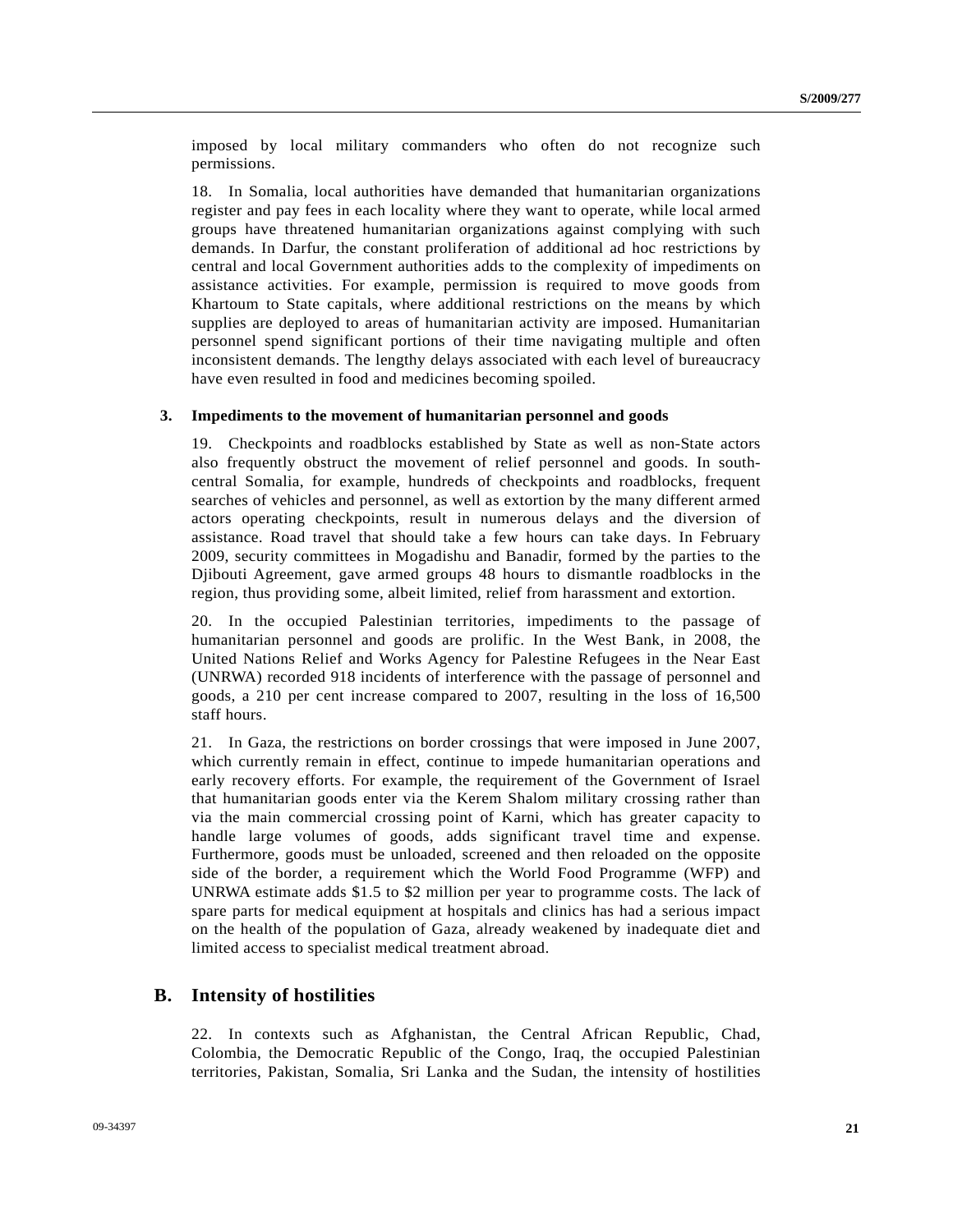imposed by local military commanders who often do not recognize such permissions.

18. In Somalia, local authorities have demanded that humanitarian organizations register and pay fees in each locality where they want to operate, while local armed groups have threatened humanitarian organizations against complying with such demands. In Darfur, the constant proliferation of additional ad hoc restrictions by central and local Government authorities adds to the complexity of impediments on assistance activities. For example, permission is required to move goods from Khartoum to State capitals, where additional restrictions on the means by which supplies are deployed to areas of humanitarian activity are imposed. Humanitarian personnel spend significant portions of their time navigating multiple and often inconsistent demands. The lengthy delays associated with each level of bureaucracy have even resulted in food and medicines becoming spoiled.

#### **3. Impediments to the movement of humanitarian personnel and goods**

19. Checkpoints and roadblocks established by State as well as non-State actors also frequently obstruct the movement of relief personnel and goods. In southcentral Somalia, for example, hundreds of checkpoints and roadblocks, frequent searches of vehicles and personnel, as well as extortion by the many different armed actors operating checkpoints, result in numerous delays and the diversion of assistance. Road travel that should take a few hours can take days. In February 2009, security committees in Mogadishu and Banadir, formed by the parties to the Djibouti Agreement, gave armed groups 48 hours to dismantle roadblocks in the region, thus providing some, albeit limited, relief from harassment and extortion.

20. In the occupied Palestinian territories, impediments to the passage of humanitarian personnel and goods are prolific. In the West Bank, in 2008, the United Nations Relief and Works Agency for Palestine Refugees in the Near East (UNRWA) recorded 918 incidents of interference with the passage of personnel and goods, a 210 per cent increase compared to 2007, resulting in the loss of 16,500 staff hours.

21. In Gaza, the restrictions on border crossings that were imposed in June 2007, which currently remain in effect, continue to impede humanitarian operations and early recovery efforts. For example, the requirement of the Government of Israel that humanitarian goods enter via the Kerem Shalom military crossing rather than via the main commercial crossing point of Karni, which has greater capacity to handle large volumes of goods, adds significant travel time and expense. Furthermore, goods must be unloaded, screened and then reloaded on the opposite side of the border, a requirement which the World Food Programme (WFP) and UNRWA estimate adds \$1.5 to \$2 million per year to programme costs. The lack of spare parts for medical equipment at hospitals and clinics has had a serious impact on the health of the population of Gaza, already weakened by inadequate diet and limited access to specialist medical treatment abroad.

### **B. Intensity of hostilities**

22. In contexts such as Afghanistan, the Central African Republic, Chad, Colombia, the Democratic Republic of the Congo, Iraq, the occupied Palestinian territories, Pakistan, Somalia, Sri Lanka and the Sudan, the intensity of hostilities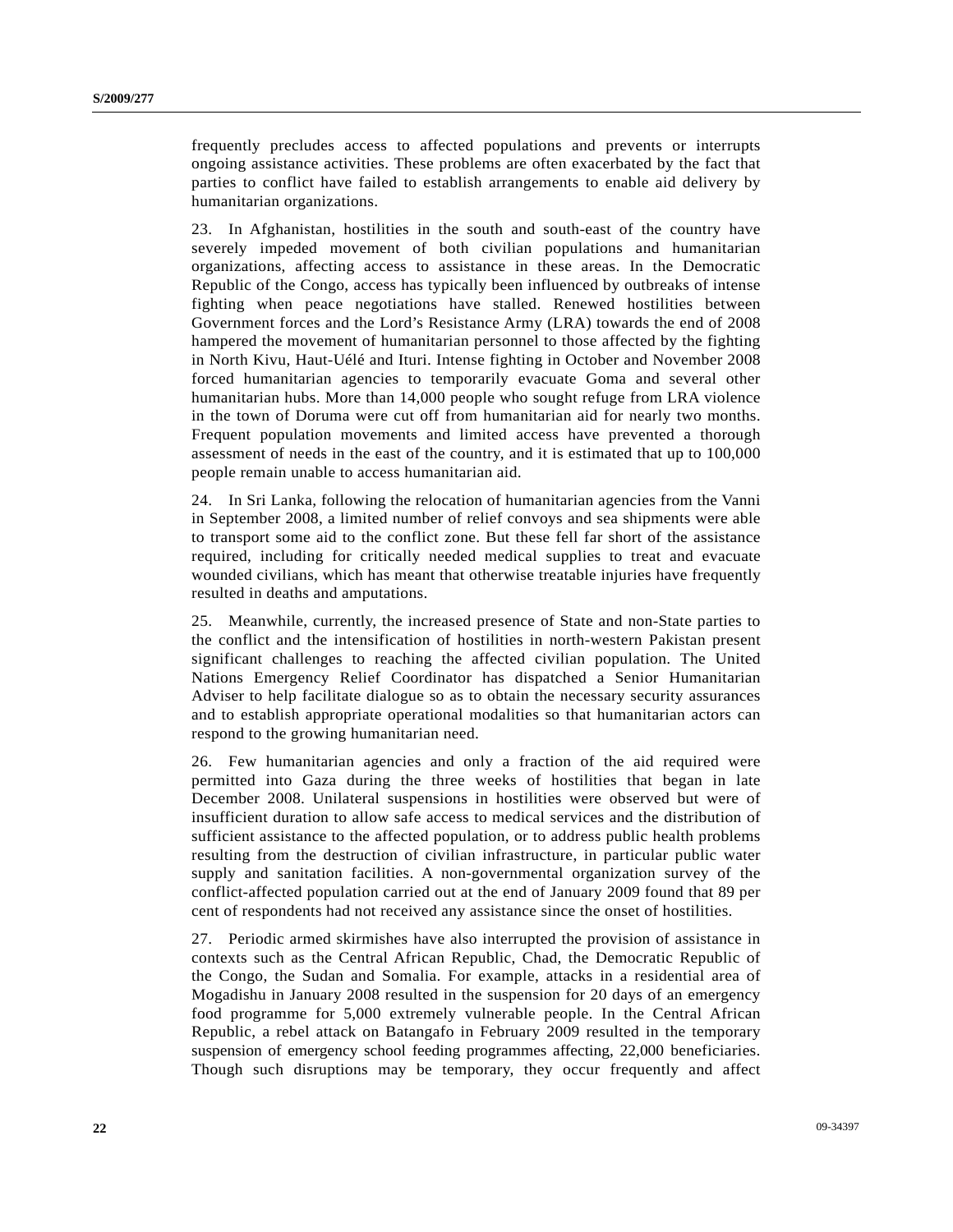frequently precludes access to affected populations and prevents or interrupts ongoing assistance activities. These problems are often exacerbated by the fact that parties to conflict have failed to establish arrangements to enable aid delivery by humanitarian organizations.

23. In Afghanistan, hostilities in the south and south-east of the country have severely impeded movement of both civilian populations and humanitarian organizations, affecting access to assistance in these areas. In the Democratic Republic of the Congo, access has typically been influenced by outbreaks of intense fighting when peace negotiations have stalled. Renewed hostilities between Government forces and the Lord's Resistance Army (LRA) towards the end of 2008 hampered the movement of humanitarian personnel to those affected by the fighting in North Kivu, Haut-Uélé and Ituri. Intense fighting in October and November 2008 forced humanitarian agencies to temporarily evacuate Goma and several other humanitarian hubs. More than 14,000 people who sought refuge from LRA violence in the town of Doruma were cut off from humanitarian aid for nearly two months. Frequent population movements and limited access have prevented a thorough assessment of needs in the east of the country, and it is estimated that up to 100,000 people remain unable to access humanitarian aid.

24. In Sri Lanka, following the relocation of humanitarian agencies from the Vanni in September 2008, a limited number of relief convoys and sea shipments were able to transport some aid to the conflict zone. But these fell far short of the assistance required, including for critically needed medical supplies to treat and evacuate wounded civilians, which has meant that otherwise treatable injuries have frequently resulted in deaths and amputations.

25. Meanwhile, currently, the increased presence of State and non-State parties to the conflict and the intensification of hostilities in north-western Pakistan present significant challenges to reaching the affected civilian population. The United Nations Emergency Relief Coordinator has dispatched a Senior Humanitarian Adviser to help facilitate dialogue so as to obtain the necessary security assurances and to establish appropriate operational modalities so that humanitarian actors can respond to the growing humanitarian need.

26. Few humanitarian agencies and only a fraction of the aid required were permitted into Gaza during the three weeks of hostilities that began in late December 2008. Unilateral suspensions in hostilities were observed but were of insufficient duration to allow safe access to medical services and the distribution of sufficient assistance to the affected population, or to address public health problems resulting from the destruction of civilian infrastructure, in particular public water supply and sanitation facilities. A non-governmental organization survey of the conflict-affected population carried out at the end of January 2009 found that 89 per cent of respondents had not received any assistance since the onset of hostilities.

27. Periodic armed skirmishes have also interrupted the provision of assistance in contexts such as the Central African Republic, Chad, the Democratic Republic of the Congo, the Sudan and Somalia. For example, attacks in a residential area of Mogadishu in January 2008 resulted in the suspension for 20 days of an emergency food programme for 5,000 extremely vulnerable people. In the Central African Republic, a rebel attack on Batangafo in February 2009 resulted in the temporary suspension of emergency school feeding programmes affecting, 22,000 beneficiaries. Though such disruptions may be temporary, they occur frequently and affect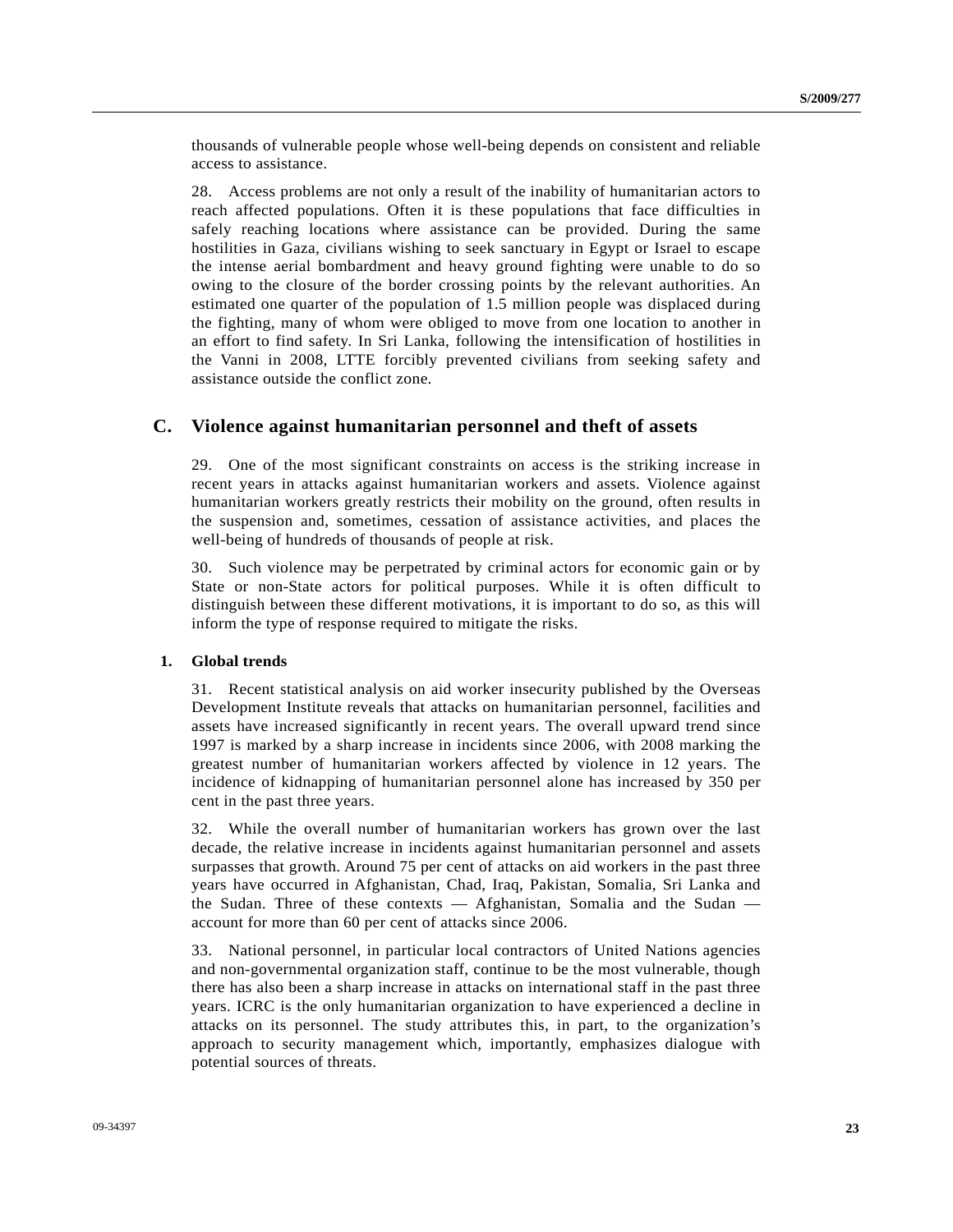thousands of vulnerable people whose well-being depends on consistent and reliable access to assistance.

28. Access problems are not only a result of the inability of humanitarian actors to reach affected populations. Often it is these populations that face difficulties in safely reaching locations where assistance can be provided. During the same hostilities in Gaza, civilians wishing to seek sanctuary in Egypt or Israel to escape the intense aerial bombardment and heavy ground fighting were unable to do so owing to the closure of the border crossing points by the relevant authorities. An estimated one quarter of the population of 1.5 million people was displaced during the fighting, many of whom were obliged to move from one location to another in an effort to find safety. In Sri Lanka, following the intensification of hostilities in the Vanni in 2008, LTTE forcibly prevented civilians from seeking safety and assistance outside the conflict zone.

### **C. Violence against humanitarian personnel and theft of assets**

29. One of the most significant constraints on access is the striking increase in recent years in attacks against humanitarian workers and assets. Violence against humanitarian workers greatly restricts their mobility on the ground, often results in the suspension and, sometimes, cessation of assistance activities, and places the well-being of hundreds of thousands of people at risk.

30. Such violence may be perpetrated by criminal actors for economic gain or by State or non-State actors for political purposes. While it is often difficult to distinguish between these different motivations, it is important to do so, as this will inform the type of response required to mitigate the risks.

#### **1. Global trends**

31. Recent statistical analysis on aid worker insecurity published by the Overseas Development Institute reveals that attacks on humanitarian personnel, facilities and assets have increased significantly in recent years. The overall upward trend since 1997 is marked by a sharp increase in incidents since 2006, with 2008 marking the greatest number of humanitarian workers affected by violence in 12 years. The incidence of kidnapping of humanitarian personnel alone has increased by 350 per cent in the past three years.

32. While the overall number of humanitarian workers has grown over the last decade, the relative increase in incidents against humanitarian personnel and assets surpasses that growth. Around 75 per cent of attacks on aid workers in the past three years have occurred in Afghanistan, Chad, Iraq, Pakistan, Somalia, Sri Lanka and the Sudan. Three of these contexts — Afghanistan, Somalia and the Sudan account for more than 60 per cent of attacks since 2006.

33. National personnel, in particular local contractors of United Nations agencies and non-governmental organization staff, continue to be the most vulnerable, though there has also been a sharp increase in attacks on international staff in the past three years. ICRC is the only humanitarian organization to have experienced a decline in attacks on its personnel. The study attributes this, in part, to the organization's approach to security management which, importantly, emphasizes dialogue with potential sources of threats.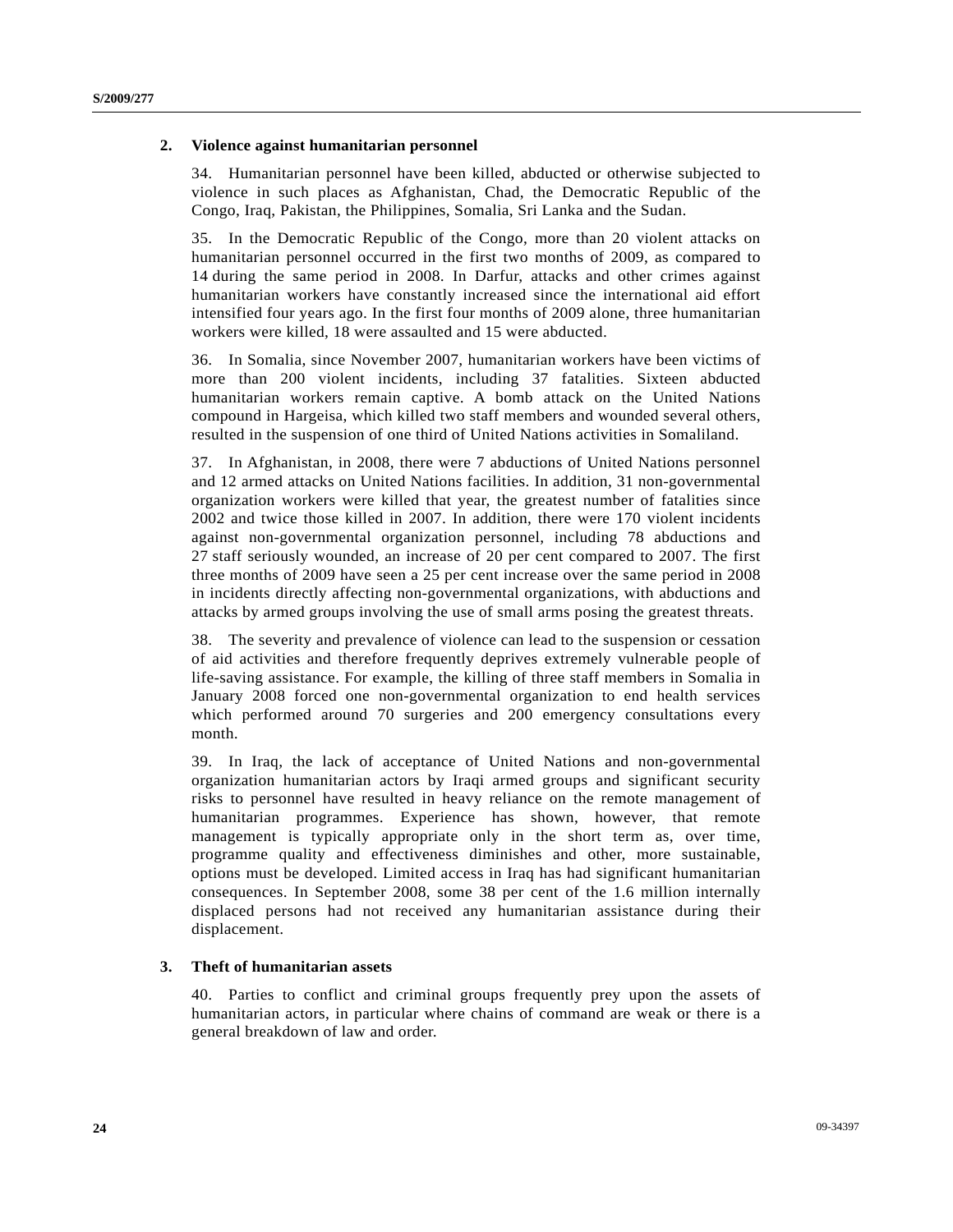#### **2. Violence against humanitarian personnel**

34. Humanitarian personnel have been killed, abducted or otherwise subjected to violence in such places as Afghanistan, Chad, the Democratic Republic of the Congo, Iraq, Pakistan, the Philippines, Somalia, Sri Lanka and the Sudan.

35. In the Democratic Republic of the Congo, more than 20 violent attacks on humanitarian personnel occurred in the first two months of 2009, as compared to 14 during the same period in 2008. In Darfur, attacks and other crimes against humanitarian workers have constantly increased since the international aid effort intensified four years ago. In the first four months of 2009 alone, three humanitarian workers were killed, 18 were assaulted and 15 were abducted.

36. In Somalia, since November 2007, humanitarian workers have been victims of more than 200 violent incidents, including 37 fatalities. Sixteen abducted humanitarian workers remain captive. A bomb attack on the United Nations compound in Hargeisa, which killed two staff members and wounded several others, resulted in the suspension of one third of United Nations activities in Somaliland.

37. In Afghanistan, in 2008, there were 7 abductions of United Nations personnel and 12 armed attacks on United Nations facilities. In addition, 31 non-governmental organization workers were killed that year, the greatest number of fatalities since 2002 and twice those killed in 2007. In addition, there were 170 violent incidents against non-governmental organization personnel, including 78 abductions and 27 staff seriously wounded, an increase of 20 per cent compared to 2007. The first three months of 2009 have seen a 25 per cent increase over the same period in 2008 in incidents directly affecting non-governmental organizations, with abductions and attacks by armed groups involving the use of small arms posing the greatest threats.

38. The severity and prevalence of violence can lead to the suspension or cessation of aid activities and therefore frequently deprives extremely vulnerable people of life-saving assistance. For example, the killing of three staff members in Somalia in January 2008 forced one non-governmental organization to end health services which performed around 70 surgeries and 200 emergency consultations every month.

39. In Iraq, the lack of acceptance of United Nations and non-governmental organization humanitarian actors by Iraqi armed groups and significant security risks to personnel have resulted in heavy reliance on the remote management of humanitarian programmes. Experience has shown, however, that remote management is typically appropriate only in the short term as, over time, programme quality and effectiveness diminishes and other, more sustainable, options must be developed. Limited access in Iraq has had significant humanitarian consequences. In September 2008, some 38 per cent of the 1.6 million internally displaced persons had not received any humanitarian assistance during their displacement.

### **3. Theft of humanitarian assets**

40. Parties to conflict and criminal groups frequently prey upon the assets of humanitarian actors, in particular where chains of command are weak or there is a general breakdown of law and order.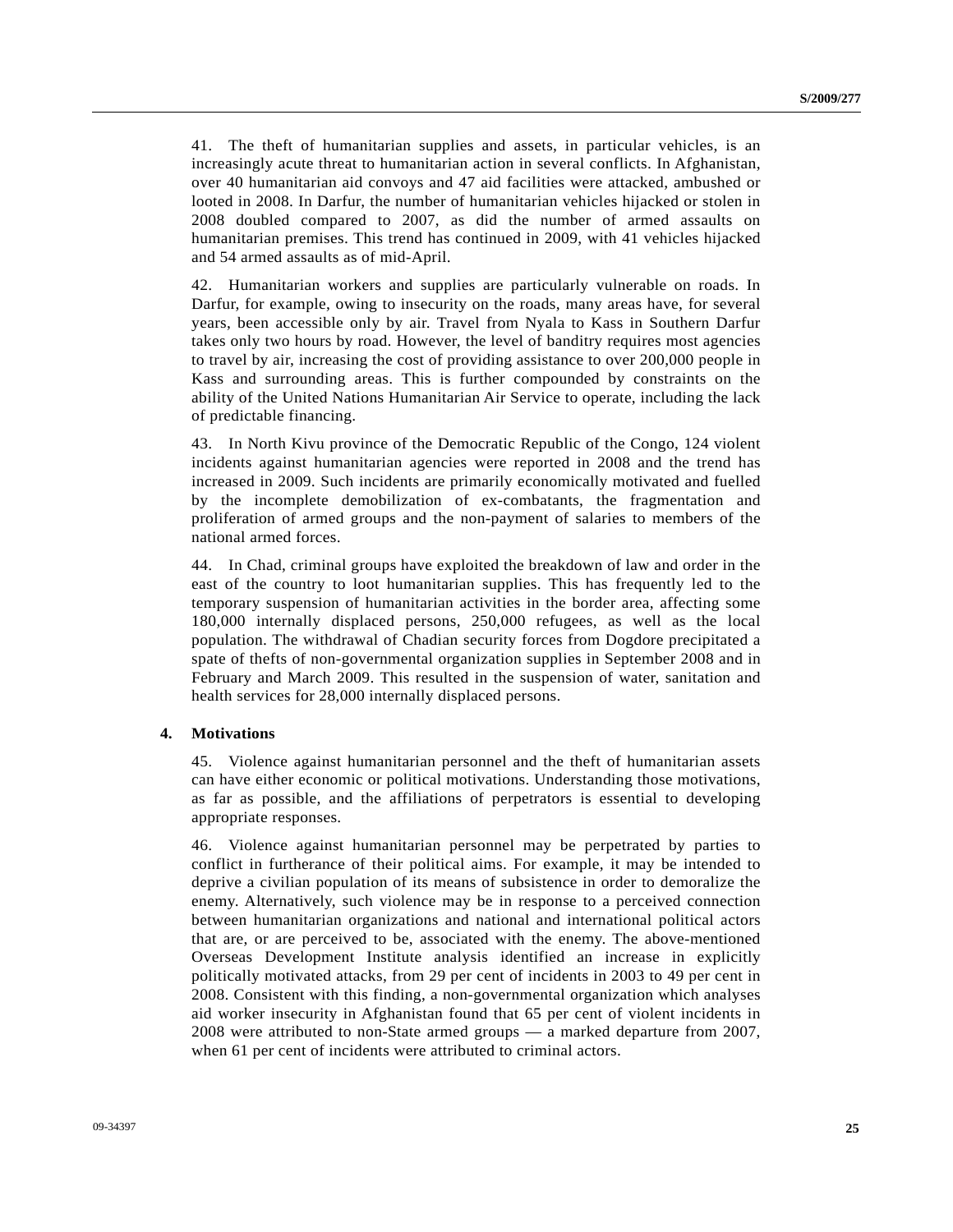41. The theft of humanitarian supplies and assets, in particular vehicles, is an increasingly acute threat to humanitarian action in several conflicts. In Afghanistan, over 40 humanitarian aid convoys and 47 aid facilities were attacked, ambushed or looted in 2008. In Darfur, the number of humanitarian vehicles hijacked or stolen in 2008 doubled compared to 2007, as did the number of armed assaults on humanitarian premises. This trend has continued in 2009, with 41 vehicles hijacked and 54 armed assaults as of mid-April.

42. Humanitarian workers and supplies are particularly vulnerable on roads. In Darfur, for example, owing to insecurity on the roads, many areas have, for several years, been accessible only by air. Travel from Nyala to Kass in Southern Darfur takes only two hours by road. However, the level of banditry requires most agencies to travel by air, increasing the cost of providing assistance to over 200,000 people in Kass and surrounding areas. This is further compounded by constraints on the ability of the United Nations Humanitarian Air Service to operate, including the lack of predictable financing.

43. In North Kivu province of the Democratic Republic of the Congo, 124 violent incidents against humanitarian agencies were reported in 2008 and the trend has increased in 2009. Such incidents are primarily economically motivated and fuelled by the incomplete demobilization of ex-combatants, the fragmentation and proliferation of armed groups and the non-payment of salaries to members of the national armed forces.

44. In Chad, criminal groups have exploited the breakdown of law and order in the east of the country to loot humanitarian supplies. This has frequently led to the temporary suspension of humanitarian activities in the border area, affecting some 180,000 internally displaced persons, 250,000 refugees, as well as the local population. The withdrawal of Chadian security forces from Dogdore precipitated a spate of thefts of non-governmental organization supplies in September 2008 and in February and March 2009. This resulted in the suspension of water, sanitation and health services for 28,000 internally displaced persons.

#### **4. Motivations**

45. Violence against humanitarian personnel and the theft of humanitarian assets can have either economic or political motivations. Understanding those motivations, as far as possible, and the affiliations of perpetrators is essential to developing appropriate responses.

46. Violence against humanitarian personnel may be perpetrated by parties to conflict in furtherance of their political aims. For example, it may be intended to deprive a civilian population of its means of subsistence in order to demoralize the enemy. Alternatively, such violence may be in response to a perceived connection between humanitarian organizations and national and international political actors that are, or are perceived to be, associated with the enemy. The above-mentioned Overseas Development Institute analysis identified an increase in explicitly politically motivated attacks, from 29 per cent of incidents in 2003 to 49 per cent in 2008. Consistent with this finding, a non-governmental organization which analyses aid worker insecurity in Afghanistan found that 65 per cent of violent incidents in 2008 were attributed to non-State armed groups — a marked departure from 2007, when 61 per cent of incidents were attributed to criminal actors.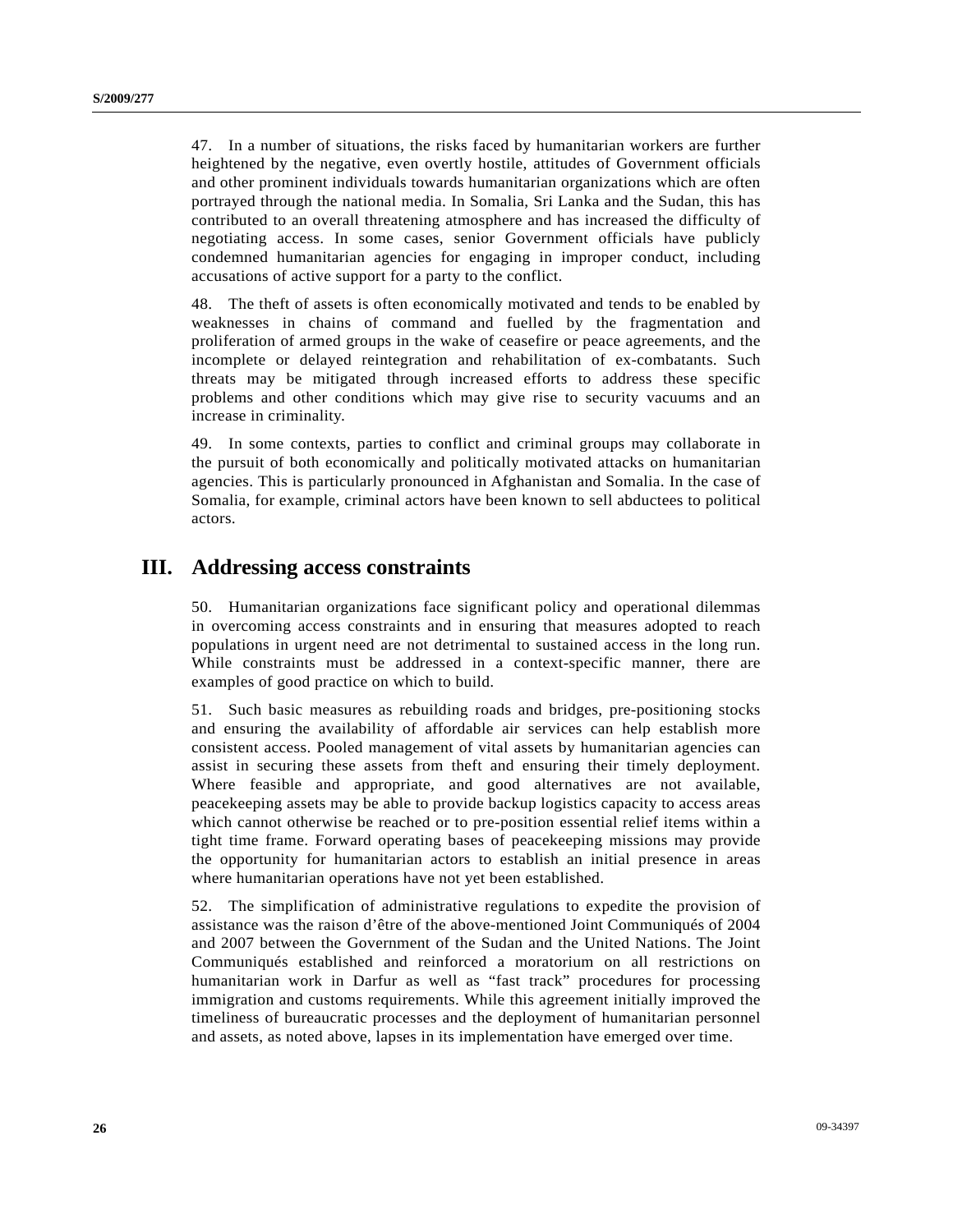47. In a number of situations, the risks faced by humanitarian workers are further heightened by the negative, even overtly hostile, attitudes of Government officials and other prominent individuals towards humanitarian organizations which are often portrayed through the national media. In Somalia, Sri Lanka and the Sudan, this has contributed to an overall threatening atmosphere and has increased the difficulty of negotiating access. In some cases, senior Government officials have publicly condemned humanitarian agencies for engaging in improper conduct, including accusations of active support for a party to the conflict.

48. The theft of assets is often economically motivated and tends to be enabled by weaknesses in chains of command and fuelled by the fragmentation and proliferation of armed groups in the wake of ceasefire or peace agreements, and the incomplete or delayed reintegration and rehabilitation of ex-combatants. Such threats may be mitigated through increased efforts to address these specific problems and other conditions which may give rise to security vacuums and an increase in criminality.

49. In some contexts, parties to conflict and criminal groups may collaborate in the pursuit of both economically and politically motivated attacks on humanitarian agencies. This is particularly pronounced in Afghanistan and Somalia. In the case of Somalia, for example, criminal actors have been known to sell abductees to political actors.

## **III. Addressing access constraints**

50. Humanitarian organizations face significant policy and operational dilemmas in overcoming access constraints and in ensuring that measures adopted to reach populations in urgent need are not detrimental to sustained access in the long run. While constraints must be addressed in a context-specific manner, there are examples of good practice on which to build.

51. Such basic measures as rebuilding roads and bridges, pre-positioning stocks and ensuring the availability of affordable air services can help establish more consistent access. Pooled management of vital assets by humanitarian agencies can assist in securing these assets from theft and ensuring their timely deployment. Where feasible and appropriate, and good alternatives are not available, peacekeeping assets may be able to provide backup logistics capacity to access areas which cannot otherwise be reached or to pre-position essential relief items within a tight time frame. Forward operating bases of peacekeeping missions may provide the opportunity for humanitarian actors to establish an initial presence in areas where humanitarian operations have not yet been established.

52. The simplification of administrative regulations to expedite the provision of assistance was the raison d'être of the above-mentioned Joint Communiqués of 2004 and 2007 between the Government of the Sudan and the United Nations. The Joint Communiqués established and reinforced a moratorium on all restrictions on humanitarian work in Darfur as well as "fast track" procedures for processing immigration and customs requirements. While this agreement initially improved the timeliness of bureaucratic processes and the deployment of humanitarian personnel and assets, as noted above, lapses in its implementation have emerged over time.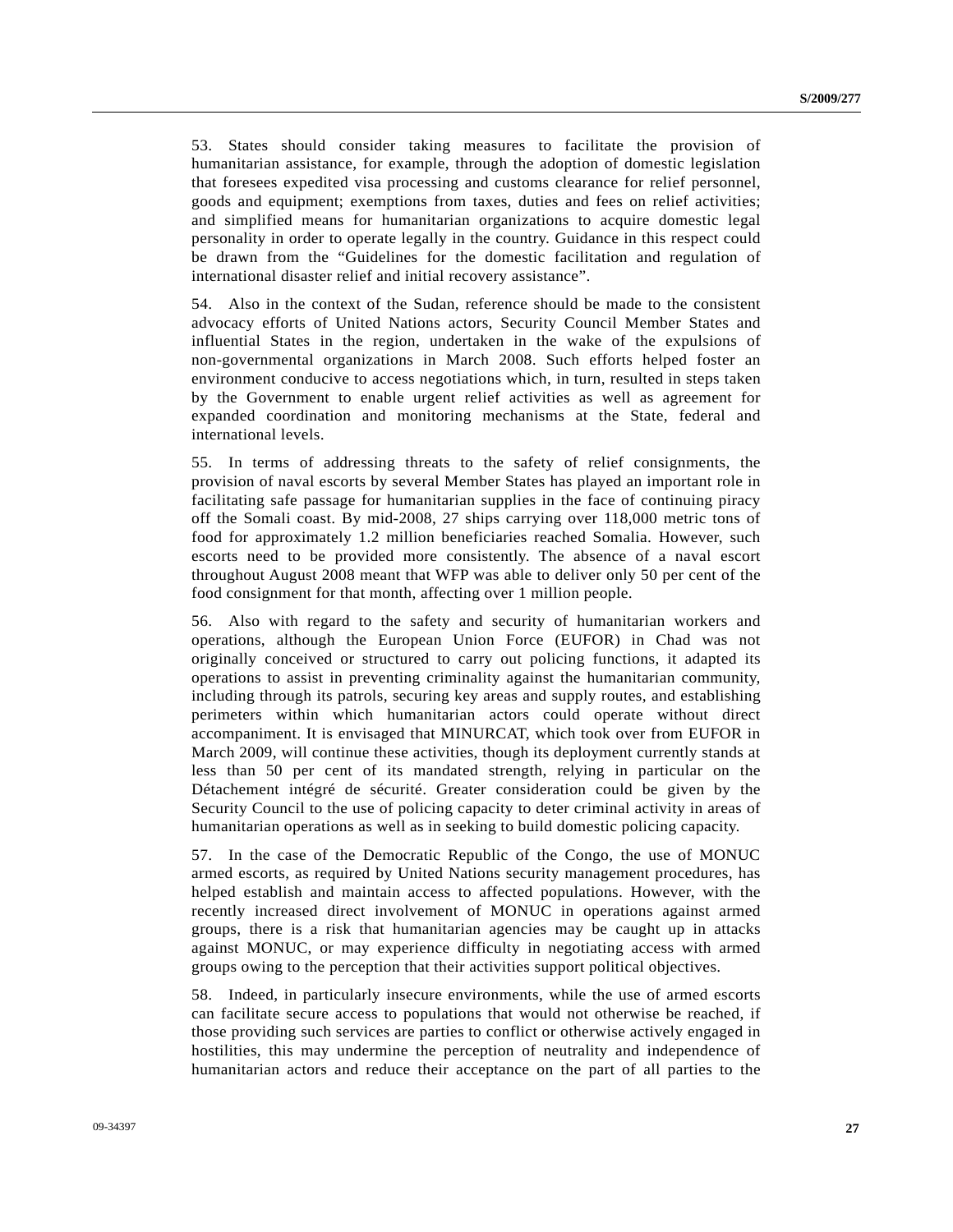53. States should consider taking measures to facilitate the provision of humanitarian assistance, for example, through the adoption of domestic legislation that foresees expedited visa processing and customs clearance for relief personnel, goods and equipment; exemptions from taxes, duties and fees on relief activities; and simplified means for humanitarian organizations to acquire domestic legal personality in order to operate legally in the country. Guidance in this respect could be drawn from the "Guidelines for the domestic facilitation and regulation of international disaster relief and initial recovery assistance".

54. Also in the context of the Sudan, reference should be made to the consistent advocacy efforts of United Nations actors, Security Council Member States and influential States in the region, undertaken in the wake of the expulsions of non-governmental organizations in March 2008. Such efforts helped foster an environment conducive to access negotiations which, in turn, resulted in steps taken by the Government to enable urgent relief activities as well as agreement for expanded coordination and monitoring mechanisms at the State, federal and international levels.

55. In terms of addressing threats to the safety of relief consignments, the provision of naval escorts by several Member States has played an important role in facilitating safe passage for humanitarian supplies in the face of continuing piracy off the Somali coast. By mid-2008, 27 ships carrying over 118,000 metric tons of food for approximately 1.2 million beneficiaries reached Somalia. However, such escorts need to be provided more consistently. The absence of a naval escort throughout August 2008 meant that WFP was able to deliver only 50 per cent of the food consignment for that month, affecting over 1 million people.

56. Also with regard to the safety and security of humanitarian workers and operations, although the European Union Force (EUFOR) in Chad was not originally conceived or structured to carry out policing functions, it adapted its operations to assist in preventing criminality against the humanitarian community, including through its patrols, securing key areas and supply routes, and establishing perimeters within which humanitarian actors could operate without direct accompaniment. It is envisaged that MINURCAT, which took over from EUFOR in March 2009, will continue these activities, though its deployment currently stands at less than 50 per cent of its mandated strength, relying in particular on the Détachement intégré de sécurité. Greater consideration could be given by the Security Council to the use of policing capacity to deter criminal activity in areas of humanitarian operations as well as in seeking to build domestic policing capacity.

57. In the case of the Democratic Republic of the Congo, the use of MONUC armed escorts, as required by United Nations security management procedures, has helped establish and maintain access to affected populations. However, with the recently increased direct involvement of MONUC in operations against armed groups, there is a risk that humanitarian agencies may be caught up in attacks against MONUC, or may experience difficulty in negotiating access with armed groups owing to the perception that their activities support political objectives.

58. Indeed, in particularly insecure environments, while the use of armed escorts can facilitate secure access to populations that would not otherwise be reached, if those providing such services are parties to conflict or otherwise actively engaged in hostilities, this may undermine the perception of neutrality and independence of humanitarian actors and reduce their acceptance on the part of all parties to the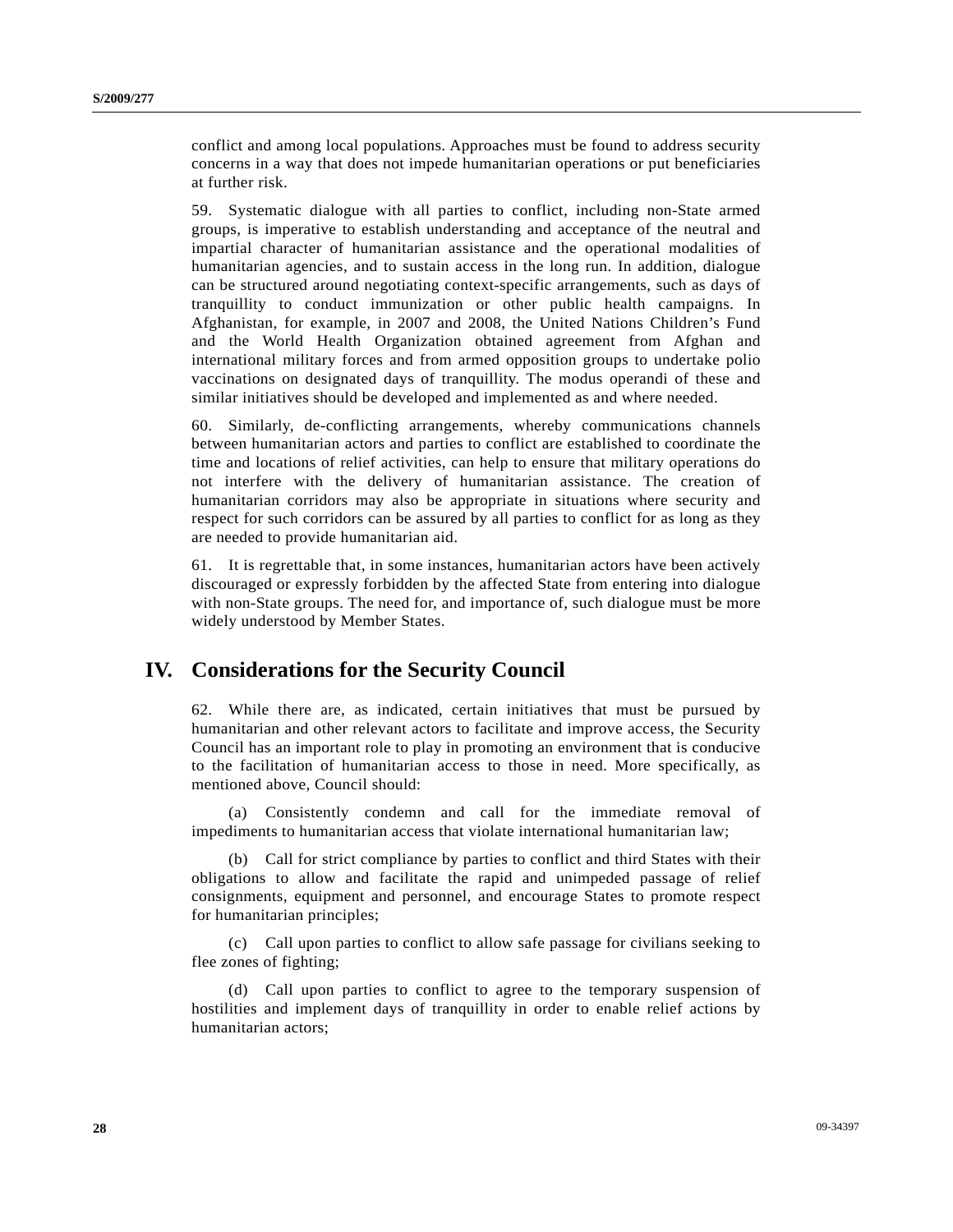conflict and among local populations. Approaches must be found to address security concerns in a way that does not impede humanitarian operations or put beneficiaries at further risk.

59. Systematic dialogue with all parties to conflict, including non-State armed groups, is imperative to establish understanding and acceptance of the neutral and impartial character of humanitarian assistance and the operational modalities of humanitarian agencies, and to sustain access in the long run. In addition, dialogue can be structured around negotiating context-specific arrangements, such as days of tranquillity to conduct immunization or other public health campaigns. In Afghanistan, for example, in 2007 and 2008, the United Nations Children's Fund and the World Health Organization obtained agreement from Afghan and international military forces and from armed opposition groups to undertake polio vaccinations on designated days of tranquillity. The modus operandi of these and similar initiatives should be developed and implemented as and where needed.

60. Similarly, de-conflicting arrangements, whereby communications channels between humanitarian actors and parties to conflict are established to coordinate the time and locations of relief activities, can help to ensure that military operations do not interfere with the delivery of humanitarian assistance. The creation of humanitarian corridors may also be appropriate in situations where security and respect for such corridors can be assured by all parties to conflict for as long as they are needed to provide humanitarian aid.

61. It is regrettable that, in some instances, humanitarian actors have been actively discouraged or expressly forbidden by the affected State from entering into dialogue with non-State groups. The need for, and importance of, such dialogue must be more widely understood by Member States.

# **IV. Considerations for the Security Council**

62. While there are, as indicated, certain initiatives that must be pursued by humanitarian and other relevant actors to facilitate and improve access, the Security Council has an important role to play in promoting an environment that is conducive to the facilitation of humanitarian access to those in need. More specifically, as mentioned above, Council should:

 (a) Consistently condemn and call for the immediate removal of impediments to humanitarian access that violate international humanitarian law;

 (b) Call for strict compliance by parties to conflict and third States with their obligations to allow and facilitate the rapid and unimpeded passage of relief consignments, equipment and personnel, and encourage States to promote respect for humanitarian principles;

 (c) Call upon parties to conflict to allow safe passage for civilians seeking to flee zones of fighting;

 (d) Call upon parties to conflict to agree to the temporary suspension of hostilities and implement days of tranquillity in order to enable relief actions by humanitarian actors;